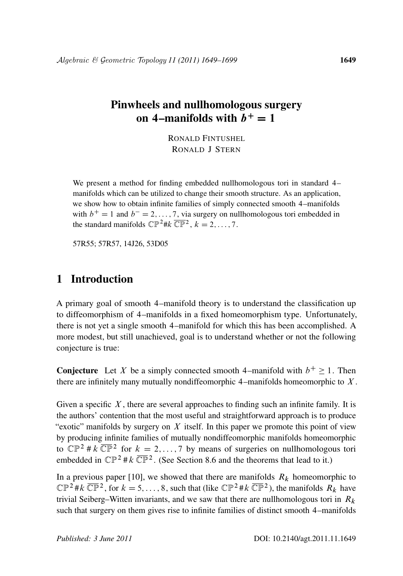# Pinwheels and nullhomologous surgery on 4–manifolds with  $\ddot{b}^+=1$

RONALD FINTUSHEL RONALD J STERN

We present a method for finding embedded nullhomologous tori in standard 4– manifolds which can be utilized to change their smooth structure. As an application, we show how to obtain infinite families of simply connected smooth 4–manifolds with  $b^+ = 1$  and  $b^- = 2, \ldots, 7$ , via surgery on nullhomologous tori embedded in the standard manifolds  $\mathbb{CP}^2 \# k \overline{\mathbb{CP}^2}$ ,  $k = 2, ..., 7$ .

57R55; 57R57, 14J26, 53D05

# 1 Introduction

A primary goal of smooth 4–manifold theory is to understand the classification up to diffeomorphism of 4–manifolds in a fixed homeomorphism type. Unfortunately, there is not yet a single smooth 4–manifold for which this has been accomplished. A more modest, but still unachieved, goal is to understand whether or not the following conjecture is true:

**Conjecture** Let X be a simply connected smooth 4–manifold with  $b^+ \ge 1$ . Then there are infinitely many mutually nondiffeomorphic 4–manifolds homeomorphic to  $X$ .

Given a specific  $X$ , there are several approaches to finding such an infinite family. It is the authors' contention that the most useful and straightforward approach is to produce "exotic" manifolds by surgery on  $X$  itself. In this paper we promote this point of view by producing infinite families of mutually nondiffeomorphic manifolds homeomorphic to  $\mathbb{CP}^2 \# k \overline{\mathbb{CP}}^2$  for  $k = 2, ..., 7$  by means of surgeries on nullhomologous tori embedded in  $\mathbb{CP}^2 \# k \overline{\mathbb{CP}}^2$ . (See Section 8.6 and the theorems that lead to it.)

In a previous paper [10], we showed that there are manifolds  $R_k$  homeomorphic to  $\mathbb{CP}^2 \# k \ \overline{\mathbb{CP}}^2$ , for  $k = 5, \ldots, 8$ , such that (like  $\mathbb{CP}^2 \# k \ \overline{\mathbb{CP}}^2$ ), the manifolds  $R_k$  have trivial Seiberg–Witten invariants, and we saw that there are nullhomologous tori in  $R_k$ such that surgery on them gives rise to infinite families of distinct smooth 4–manifolds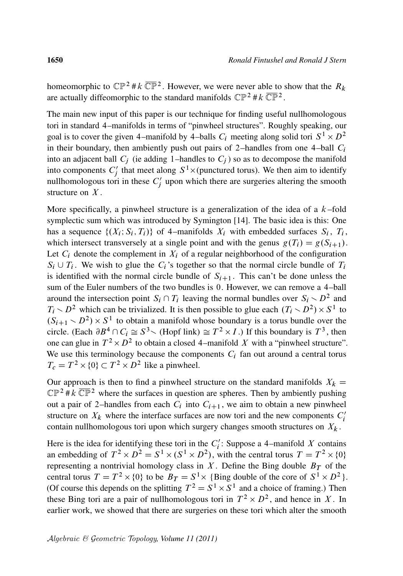homeomorphic to  $\mathbb{CP}^2 \# k \ \overline{\mathbb{CP}}^2$ . However, we were never able to show that the  $R_k$ are actually diffeomorphic to the standard manifolds  $\mathbb{CP}^2 \# k \overline{\mathbb{CP}}^2$ .

The main new input of this paper is our technique for finding useful nullhomologous tori in standard 4–manifolds in terms of "pinwheel structures". Roughly speaking, our goal is to cover the given 4–manifold by 4–balls  $C_i$  meeting along solid tori  $S^1 \times D^2$ in their boundary, then ambiently push out pairs of 2-handles from one 4-ball  $C_i$ into an adjacent ball  $C_i$  (ie adding 1–handles to  $C_i$ ) so as to decompose the manifold into components  $C_i'$  $S_j'$  that meet along  $S^1 \times$  (punctured torus). We then aim to identify nullhomologous tori in these  $C_i'$  $j'$  upon which there are surgeries altering the smooth structure on  $X$ .

More specifically, a pinwheel structure is a generalization of the idea of a  $k$ -fold symplectic sum which was introduced by Symington [14]. The basic idea is this: One has a sequence  $\{(X_i; S_i, T_i)\}\$  of 4–manifolds  $X_i$  with embedded surfaces  $S_i$ ,  $T_i$ , which intersect transversely at a single point and with the genus  $g(T_i) = g(S_{i+1})$ . Let  $C_i$  denote the complement in  $X_i$  of a regular neighborhood of the configuration  $S_i \cup T_i$ . We wish to glue the  $C_i$ 's together so that the normal circle bundle of  $T_i$ is identified with the normal circle bundle of  $S_{i+1}$ . This can't be done unless the sum of the Euler numbers of the two bundles is 0. However, we can remove a 4–ball around the intersection point  $S_i \cap T_i$  leaving the normal bundles over  $S_i \setminus D^2$  and  $T_i \setminus D^2$  which can be trivialized. It is then possible to glue each  $(T_i \setminus D^2) \times S^1$  to  $(S_{i+1} > D^2) \times S^1$  to obtain a manifold whose boundary is a torus bundle over the circle. (Each  $\partial B^4 \cap C_i \cong S^3$  and  $(\text{Hopf link}) \cong T^2 \times I$ .) If this boundary is  $T^3$ , then one can glue in  $T^2 \times D^2$  to obtain a closed 4–manifold X with a "pinwheel structure". We use this terminology because the components  $C_i$  fan out around a central torus  $T_c = T^2 \times \{0\} \subset T^2 \times D^2$  like a pinwheel.

Our approach is then to find a pinwheel structure on the standard manifolds  $X_k =$  $\mathbb{CP}^2$  # k  $\overline{\mathbb{CP}}^2$  where the surfaces in question are spheres. Then by ambiently pushing out a pair of 2-handles from each  $C_i$  into  $C_{i+1}$ , we aim to obtain a new pinwheel structure on  $X_k$  where the interface surfaces are now tori and the new components  $C_i'$ i contain nullhomologous tori upon which surgery changes smooth structures on  $X_k$ .

Here is the idea for identifying these tori in the  $C_i'$  $i'$ : Suppose a 4–manifold X contains an embedding of  $T^2 \times D^2 = S^1 \times (S^1 \times D^2)$ , with the central torus  $T = T^2 \times \{0\}$ representing a nontrivial homology class in X. Define the Bing double  $B_T$  of the central torus  $T = T^2 \times \{0\}$  to be  $B_T = S^1 \times \{ \text{Bing double of the core of } S^1 \times D^2 \}.$ (Of course this depends on the splitting  $T^2 = S^1 \times S^1$  and a choice of framing.) Then these Bing tori are a pair of nullhomologous tori in  $T^2 \times D^2$ , and hence in X. In earlier work, we showed that there are surgeries on these tori which alter the smooth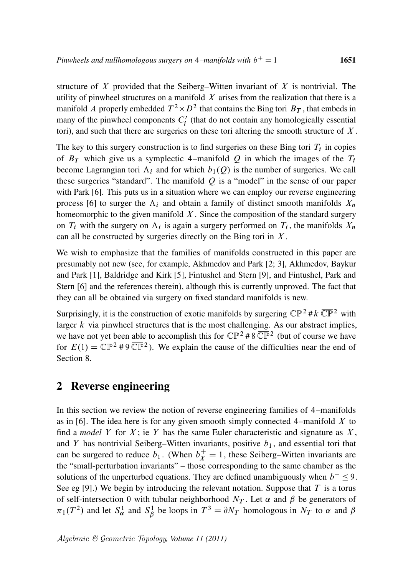structure of  $X$  provided that the Seiberg–Witten invariant of  $X$  is nontrivial. The utility of pinwheel structures on a manifold  $X$  arises from the realization that there is a manifold A properly embedded  $T^2 \times D^2$  that contains the Bing tori  $B_T$ , that embeds in many of the pinwheel components  $C_i'$  $i'$  (that do not contain any homologically essential tori), and such that there are surgeries on these tori altering the smooth structure of  $X$ .

The key to this surgery construction is to find surgeries on these Bing tori  $T_i$  in copies of  $B_T$  which give us a symplectic 4–manifold Q in which the images of the  $T_i$ become Lagrangian tori  $\Lambda_i$  and for which  $b_1(Q)$  is the number of surgeries. We call these surgeries "standard". The manifold  $Q$  is a "model" in the sense of our paper with Park [6]. This puts us in a situation where we can employ our reverse engineering process [6] to surger the  $\Lambda_i$  and obtain a family of distinct smooth manifolds  $X_n$ homeomorphic to the given manifold  $X$ . Since the composition of the standard surgery on  $T_i$  with the surgery on  $\Lambda_i$  is again a surgery performed on  $T_i$ , the manifolds  $X_n$ can all be constructed by surgeries directly on the Bing tori in  $X$ .

We wish to emphasize that the families of manifolds constructed in this paper are presumably not new (see, for example, Akhmedov and Park [2; 3], Akhmedov, Baykur and Park [1], Baldridge and Kirk [5], Fintushel and Stern [9], and Fintushel, Park and Stern [6] and the references therein), although this is currently unproved. The fact that they can all be obtained via surgery on fixed standard manifolds is new.

Surprisingly, it is the construction of exotic manifolds by surgering  $\mathbb{CP}^2 \# k \overline{\mathbb{CP}}^2$  with larger  $k$  via pinwheel structures that is the most challenging. As our abstract implies, we have not yet been able to accomplish this for  $\mathbb{CP}^2 \# 8 \overline{\mathbb{CP}}^2$  (but of course we have for  $E(1) = \mathbb{CP}^2 \# 9 \overline{\mathbb{CP}}^2$ ). We explain the cause of the difficulties near the end of Section 8.

# 2 Reverse engineering

In this section we review the notion of reverse engineering families of 4–manifolds as in [6]. The idea here is for any given smooth simply connected 4–manifold  $X$  to find a *model* Y for X; ie Y has the same Euler characteristic and signature as  $X$ , and Y has nontrivial Seiberg–Witten invariants, positive  $b_1$ , and essential tori that can be surgered to reduce  $b_1$ . (When  $b_x^+ = 1$ , these Seiberg–Witten invariants are the "small-perturbation invariants" – those corresponding to the same chamber as the solutions of the unperturbed equations. They are defined unambiguously when  $b^- \le 9$ . See eg [9].) We begin by introducing the relevant notation. Suppose that  $T$  is a torus of self-intersection 0 with tubular neighborhood  $N_T$ . Let  $\alpha$  and  $\beta$  be generators of  $\pi_1(T^2)$  and let  $S^1_\alpha$  and  $S^1_\beta$  $\beta$  be loops in  $T^3 = \partial N_T$  homologous in  $N_T$  to  $\alpha$  and  $\beta$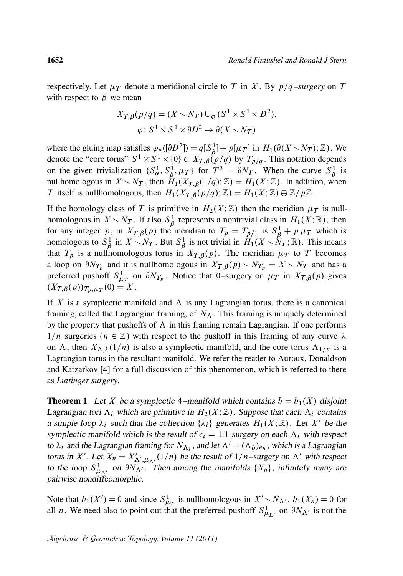respectively. Let  $\mu_T$  denote a meridional circle to T in X. By  $p/q$ –surgery on T with respect to  $\beta$  we mean

$$
X_{T,\beta}(p/q) = (X \setminus N_T) \cup_{\varphi} (S^1 \times S^1 \times D^2),
$$
  

$$
\varphi: S^1 \times S^1 \times \partial D^2 \to \partial (X \setminus N_T)
$$

where the gluing map satisfies  $\varphi_*([\partial D^2]) = q[S_\beta^1] + p[\mu_T]$  in  $H_1(\partial (X \setminus N_T); \mathbb{Z})$ . We where the graing map satisfies  $\psi_*(\overline{C}D^T) = q_1D_{\beta_1} + p_1\mu_1 + p_1\mu_2 + p_2\mu_3$ . We denote the "core torus"  $S^1 \times S^1 \times \{0\} \subset X_{T,\beta}(p/q)$  by  $T_{p/q}$ . This notation depends on the given trivialization  $\{S_{\alpha}^1, S_{\beta}^1\}$  ${}_{\beta}^{1}, \mu_T$ } for  $T^3 = \partial N_T$ . When the curve  $S_{\beta}^1$  $\frac{1}{\beta}$  is nullhomologous in  $X \setminus N_T$ , then  $H_1(X_{T,\beta}(1/q); \mathbb{Z}) = H_1(X; \mathbb{Z})$ . In addition, when T itself is nullhomologous, then  $H_1(X_{T,\beta}(p/q); \mathbb{Z}) = H_1(X; \mathbb{Z}) \oplus \mathbb{Z}/p\mathbb{Z}$ .

If the homology class of T is primitive in  $H_2(X;\mathbb{Z})$  then the meridian  $\mu_T$  is nullhomologous in  $X \setminus N_T$ . If also  $S^1_{\beta}$  $\beta$  represents a nontrivial class in  $H_1(X; \mathbb{R})$ , then for any integer p, in  $X_{T,\beta}(p)$  the meridian to  $T_p = T_{p/1}$  is  $S_\beta^1 + p \mu_T$  which is homologous to  $S^1_{\mathcal{B}}$  $\int_{\beta}^{1}$  in  $X \setminus N_T$ . But  $S^1_{\beta}$  $\hat{\vec{B}}$  is not trivial in  $\hat{H}_1(X \setminus \hat{N}_T; \mathbb{R})$ . This means that  $T_p$  is a nullhomologous torus in  $X_{T,\beta}(p)$ . The meridian  $\mu_T$  to T becomes a loop on  $\partial N_{T_p}$  and it is nullhomologous in  $X_{T,\beta}(p) \setminus N_{T_p} = X \setminus N_T$  and has a preferred pushoff  $S_{\mu_T}^1$  on  $\partial N_{T_p}$ . Notice that 0–surgery on  $\mu_T$  in  $X_{T,\beta}(p)$  gives  $(X_{T,\beta}(p))_{T_p,\mu_T}(0) = X$ .

If X is a symplectic manifold and  $\Lambda$  is any Lagrangian torus, there is a canonical framing, called the Lagrangian framing, of  $N_A$ . This framing is uniquely determined by the property that pushoffs of  $\Lambda$  in this framing remain Lagrangian. If one performs  $1/n$  surgeries ( $n \in \mathbb{Z}$ ) with respect to the pushoff in this framing of any curve  $\lambda$ on  $\Lambda$ , then  $X_{\Lambda,\lambda}(1/n)$  is also a symplectic manifold, and the core torus  $\Lambda_{1/n}$  is a Lagrangian torus in the resultant manifold. We refer the reader to Auroux, Donaldson and Katzarkov [4] for a full discussion of this phenomenon, which is referred to there as *Luttinger surgery*.

**Theorem 1** Let X be a symplectic 4–manifold which contains  $b = b_1(X)$  disjoint Lagrangian tori  $\Lambda_i$  which are primitive in  $H_2(X;\mathbb{Z})$ . Suppose that each  $\Lambda_i$  contains a simple loop  $\lambda_i$  such that the collection  $\{\lambda_i\}$  generates  $H_1(X;\mathbb{R})$ . Let X' be the symplectic manifold which is the result of  $\epsilon_i = \pm 1$  surgery on each  $\Lambda_i$  with respect to  $\lambda_i$  and the Lagrangian framing for  $N_{\Lambda_i}$ , and let  $\Lambda' = (\Lambda_b)_{\epsilon_b}$ , which is a Lagrangian torus in X'. Let  $X_n = X'_{\Lambda',\mu_{\Lambda'}}(1/n)$  be the result of  $1/n$ -surgery on  $\Lambda'$  with respect to the loop  $S^1_{\mu_{\Lambda'}}$  on  $\partial N_{\Lambda'}$ . Then among the manifolds  $\{X_n\}$ , infinitely many are pairwise nondiffeomorphic.

Note that  $b_1(X') = 0$  and since  $S^1_{\mu}$  is nullhomologous in  $X' \setminus N_{\Lambda'}$ ,  $b_1(X_n) = 0$  for all *n*. We need also to point out that the preferred pushoff  $S^1_{\mu_{L'}}$  on  $\partial N_{\Lambda'}$  is not the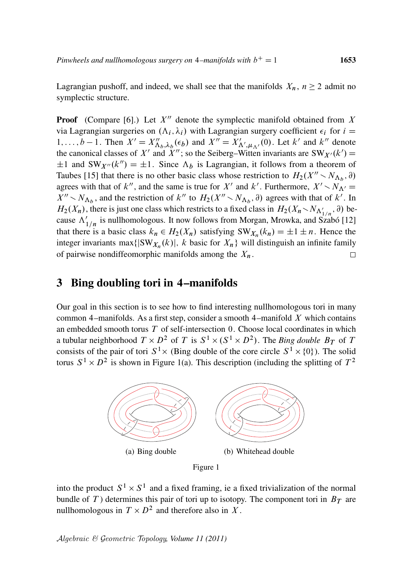Lagrangian pushoff, and indeed, we shall see that the manifolds  $X_n$ ,  $n \ge 2$  admit no symplectic structure.

**Proof** (Compare [6].) Let  $X''$  denote the symplectic manifold obtained from X via Lagrangian surgeries on  $(\Lambda_i, \lambda_i)$  with Lagrangian surgery coefficient  $\epsilon_i$  for  $i =$ 1,...,  $b-1$ . Then  $X' = X''_{\Delta_b,\lambda_b}(\epsilon_b)$  and  $X'' = X'_{\Delta',\mu_{\Delta'}}(0)$ . Let k' and k'' denote the canonical classes of X' and X''; so the Seiberg–Witten invariants are  $SW_{X'}(k') =$  $\pm 1$  and SW<sub>X''</sub>(k'') =  $\pm 1$ . Since  $\Lambda_b$  is Lagrangian, it follows from a theorem of Taubes [15] that there is no other basic class whose restriction to  $H_2(X'' \setminus N_{\Lambda_b}, \partial)$ agrees with that of k'', and the same is true for X' and k'. Furthermore,  $X' \setminus N_{\Lambda'} =$  $X'' \sim N_{\Lambda_b}$ , and the restriction of k'' to  $H_2(X'' \sim N_{\Lambda_b}, \partial)$  agrees with that of k'. In  $H_2(X_n)$ , there is just one class which restricts to a fixed class in  $H_2(X_n \setminus N_{\Lambda'_{1/n}}, \partial)$  because  $\Lambda'_{1/n}$  is nullhomologous. It now follows from Morgan, Mrowka, and Szabó [12] that there is a basic class  $k_n \in H_2(X_n)$  satisfying  $SW_{X_n}(k_n) = \pm 1 \pm n$ . Hence the integer invariants max $\{|\text{SW}_{X_n}(k)|, k \text{ basic for } X_n\}$  will distinguish an infinite family of pairwise nondiffeomorphic manifolds among the  $X_n$ .

#### 3 Bing doubling tori in 4–manifolds

Our goal in this section is to see how to find interesting nullhomologous tori in many common 4–manifolds. As a first step, consider a smooth 4–manifold  $X$  which contains an embedded smooth torus  $T$  of self-intersection 0. Choose local coordinates in which a tubular neighborhood  $T \times D^2$  of T is  $S^1 \times (S^1 \times D^2)$ . The *Bing double*  $B_T$  of T consists of the pair of tori  $S^1 \times$  (Bing double of the core circle  $S^1 \times \{0\}$ ). The solid torus  $S^1 \times D^2$  is shown in Figure 1(a). This description (including the splitting of  $T^2$ 



into the product  $S^1 \times S^1$  and a fixed framing, ie a fixed trivialization of the normal bundle of T) determines this pair of tori up to isotopy. The component tori in  $B_T$  are nullhomologous in  $T \times D^2$  and therefore also in X.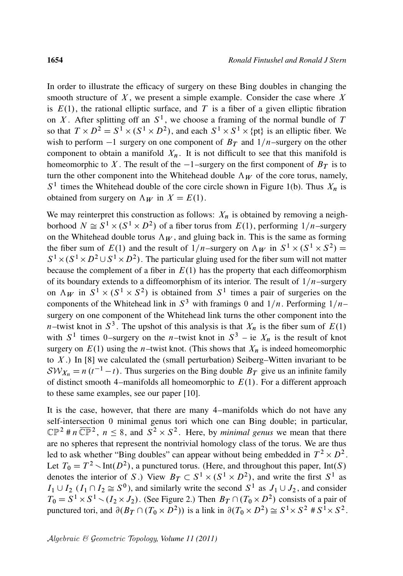In order to illustrate the efficacy of surgery on these Bing doubles in changing the smooth structure of  $X$ , we present a simple example. Consider the case where  $X$ is  $E(1)$ , the rational elliptic surface, and T is a fiber of a given elliptic fibration on X. After splitting off an  $S^1$ , we choose a framing of the normal bundle of T so that  $T \times D^2 = S^1 \times (S^1 \times D^2)$ , and each  $S^1 \times S^1 \times \{pt\}$  is an elliptic fiber. We wish to perform  $-1$  surgery on one component of  $B_T$  and  $1/n$ –surgery on the other component to obtain a manifold  $X_n$ . It is not difficult to see that this manifold is homeomorphic to X. The result of the  $-1$ -surgery on the first component of  $B_T$  is to turn the other component into the Whitehead double  $\Lambda_W$  of the core torus, namely,  $S<sup>1</sup>$  times the Whitehead double of the core circle shown in Figure 1(b). Thus  $X_n$  is obtained from surgery on  $\Lambda_W$  in  $X = E(1)$ .

We may reinterpret this construction as follows:  $X_n$  is obtained by removing a neighborhood  $N \cong S^1 \times (S^1 \times D^2)$  of a fiber torus from  $E(1)$ , performing  $1/n$ -surgery on the Whitehead double torus  $\Lambda_W$ , and gluing back in. This is the same as forming the fiber sum of  $E(1)$  and the result of  $1/n$ –surgery on  $\Lambda_W$  in  $S^1 \times (S^1 \times S^2)$  =  $S^1 \times (S^1 \times D^2 \cup S^1 \times D^2)$ . The particular gluing used for the fiber sum will not matter because the complement of a fiber in  $E(1)$  has the property that each diffeomorphism of its boundary extends to a diffeomorphism of its interior. The result of  $1/n$ –surgery on  $\Lambda_W$  in  $S^1 \times (S^1 \times S^2)$  is obtained from  $S^1$  times a pair of surgeries on the components of the Whitehead link in  $S^3$  with framings 0 and  $1/n$ . Performing  $1/n$ – surgery on one component of the Whitehead link turns the other component into the *n*–twist knot in  $S^3$ . The upshot of this analysis is that  $X_n$  is the fiber sum of  $E(1)$ with  $S^1$  times 0–surgery on the *n*–twist knot in  $S^3$  – ie  $X_n$  is the result of knot surgery on  $E(1)$  using the *n*–twist knot. (This shows that  $X_n$  is indeed homeomorphic to  $X$ .) In [8] we calculated the (small perturbation) Seiberg–Witten invariant to be  $\mathcal{SW}_{X_n} = n(t^{-1} - t)$ . Thus surgeries on the Bing double  $B_T$  give us an infinite family of distinct smooth 4–manifolds all homeomorphic to  $E(1)$ . For a different approach to these same examples, see our paper [10].

It is the case, however, that there are many 4–manifolds which do not have any self-intersection 0 minimal genus tori which one can Bing double; in particular,  $\mathbb{CP}^2$  # n  $\overline{\mathbb{CP}}^2$ ,  $n \leq 8$ , and  $S^2 \times S^2$ . Here, by *minimal genus* we mean that there are no spheres that represent the nontrivial homology class of the torus. We are thus led to ask whether "Bing doubles" can appear without being embedded in  $T^2 \times D^2$ . Let  $T_0 = T^2 \setminus Int(D^2)$ , a punctured torus. (Here, and throughout this paper, Int(S) denotes the interior of S.) View  $B_T \subset S^1 \times (S^1 \times D^2)$ , and write the first  $S^1$  as  $I_1 \cup I_2$  ( $I_1 \cap I_2 \cong S^0$ ), and similarly write the second  $S^1$  as  $J_1 \cup J_2$ , and consider  $T_0 = S^1 \times S^1 \setminus (I_2 \times J_2)$ . (See Figure 2.) Then  $B_T \cap (T_0 \times D^2)$  consists of a pair of punctured tori, and  $\partial (B_T \cap (T_0 \times D^2))$  is a link in  $\partial (T_0 \times D^2) \cong S^1 \times S^2 \# S^1 \times S^2$ .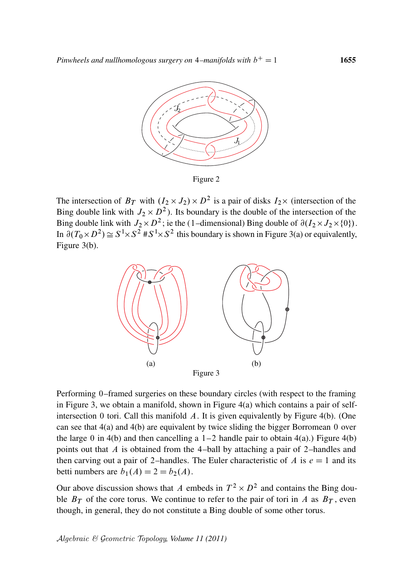

Figure 2

The intersection of  $B_T$  with  $(I_2 \times J_2) \times D^2$  is a pair of disks  $I_2 \times$  (intersection of the Bing double link with  $J_2 \times D^2$ ). Its boundary is the double of the intersection of the Bing double link with  $J_2 \times D^2$ ; ie the (1-dimensional) Bing double of  $\partial(I_2 \times J_2 \times \{0\})$ . In  $\partial (T_0 \times D^2) \cong S^1 \times S^2 \times S^1 \times S^2$  this boundary is shown in Figure 3(a) or equivalently, Figure 3(b).



Performing 0–framed surgeries on these boundary circles (with respect to the framing in Figure 3, we obtain a manifold, shown in Figure 4(a) which contains a pair of selfintersection 0 tori. Call this manifold  $A$ . It is given equivalently by Figure 4(b). (One can see that 4(a) and 4(b) are equivalent by twice sliding the bigger Borromean 0 over the large 0 in 4(b) and then cancelling a  $1-2$  handle pair to obtain 4(a).) Figure 4(b) points out that A is obtained from the 4–ball by attaching a pair of 2–handles and then carving out a pair of 2–handles. The Euler characteristic of A is  $e = 1$  and its betti numbers are  $b_1(A) = 2 = b_2(A)$ .

Our above discussion shows that A embeds in  $T^2 \times D^2$  and contains the Bing double  $B_T$  of the core torus. We continue to refer to the pair of tori in A as  $B_T$ , even though, in general, they do not constitute a Bing double of some other torus.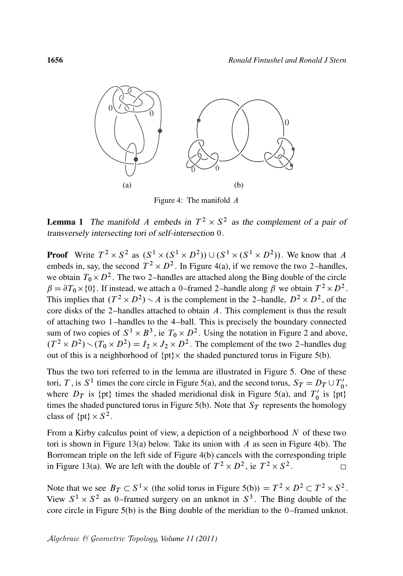

Figure 4: The manifold  $\Lambda$ 

**Lemma 1** The manifold A embeds in  $T^2 \times S^2$  as the complement of a pair of transversely intersecting tori of self-intersection 0.

**Proof** Write  $T^2 \times S^2$  as  $(S^1 \times (S^1 \times D^2)) \cup (S^1 \times (S^1 \times D^2))$ . We know that A embeds in, say, the second  $T^2 \times D^2$ . In Figure 4(a), if we remove the two 2-handles, we obtain  $T_0 \times D^2$ . The two 2-handles are attached along the Bing double of the circle  $\beta = \partial T_0 \times \{0\}$ . If instead, we attach a 0-framed 2-handle along  $\beta$  we obtain  $T^2 \times D^2$ . This implies that  $(T^2 \times D^2) \setminus A$  is the complement in the 2-handle,  $D^2 \times D^2$ , of the core disks of the 2–handles attached to obtain A. This complement is thus the result of attaching two 1–handles to the 4–ball. This is precisely the boundary connected sum of two copies of  $S^1 \times B^3$ , ie  $T_0 \times D^2$ . Using the notation in Figure 2 and above,  $(T^2 \times D^2) \setminus (T_0 \times D^2) = I_2 \times J_2 \times D^2$ . The complement of the two 2-handles dug out of this is a neighborhood of  $\{pt\} \times$  the shaded punctured torus in Figure 5(b).

Thus the two tori referred to in the lemma are illustrated in Figure 5. One of these tori, T, is S<sup>1</sup> times the core circle in Figure 5(a), and the second torus,  $S_T = D_T \cup T'_0$ ,,<br>0' where  $D_T$  is {pt} times the shaded meridional disk in Figure 5(a), and  $T'_0$  $\frac{1}{0}$  is  $\{\text{pt}\}\$ times the shaded punctured torus in Figure 5(b). Note that  $S_T$  represents the homology class of  $\{pt\} \times S^2$ .

From a Kirby calculus point of view, a depiction of a neighborhood  $N$  of these two tori is shown in Figure 13(a) below. Take its union with  $A$  as seen in Figure 4(b). The Borromean triple on the left side of Figure 4(b) cancels with the corresponding triple in Figure 13(a). We are left with the double of  $T^2 \times D^2$ , ie  $T^2 \times S^2$ .  $\Box$ 

Note that we see  $B_T \subset S^1 \times$  (the solid torus in Figure 5(b)) =  $T^2 \times D^2 \subset T^2 \times S^2$ . View  $S^1 \times S^2$  as 0-framed surgery on an unknot in  $S^3$ . The Bing double of the core circle in Figure 5(b) is the Bing double of the meridian to the 0–framed unknot.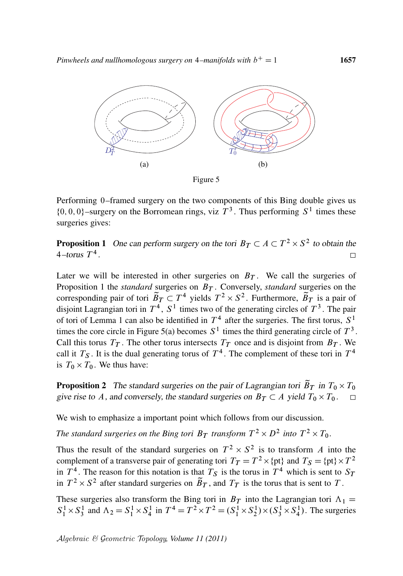

Figure 5

Performing 0–framed surgery on the two components of this Bing double gives us  $\{0, 0, 0\}$ -surgery on the Borromean rings, viz  $T<sup>3</sup>$ . Thus performing  $S<sup>1</sup>$  times these surgeries gives:

**Proposition 1** One can perform surgery on the tori  $B_T \subset A \subset T^2 \times S^2$  to obtain the 4–torus  $T^4$ .

Later we will be interested in other surgeries on  $B_T$ . We call the surgeries of Proposition 1 the *standard* surgeries on  $B_T$ . Conversely, *standard* surgeries on the corresponding pair of tori  $\widetilde{B}_T \subset T^4$  yields  $T^2 \times S^2$ . Furthermore,  $\widetilde{B}_T$  is a pair of disjoint Lagrangian tori in  $T^4$ ,  $S^1$  times two of the generating circles of  $T^3$ . The pair of tori of Lemma 1 can also be identified in  $T^4$  after the surgeries. The first torus,  $S^1$ times the core circle in Figure 5(a) becomes  $S^1$  times the third generating circle of  $T^3$ . Call this torus  $T_T$ . The other torus intersects  $T_T$  once and is disjoint from  $B_T$ . We call it  $T<sub>S</sub>$ . It is the dual generating torus of  $T<sup>4</sup>$ . The complement of these tori in  $T<sup>4</sup>$ is  $T_0 \times T_0$ . We thus have:

**Proposition 2** The standard surgeries on the pair of Lagrangian tori  $\widetilde{B}_T$  in  $T_0 \times T_0$ give rise to A, and conversely, the standard surgeries on  $B_T \subset A$  yield  $T_0 \times T_0$ .

We wish to emphasize a important point which follows from our discussion.

The standard surgeries on the Bing tori  $B_T$  transform  $T^2 \times D^2$  into  $T^2 \times T_0$ .

Thus the result of the standard surgeries on  $T^2 \times S^2$  is to transform A into the complement of a transverse pair of generating tori  $T_T = T^2 \times \{pt\}$  and  $T_S = \{pt\} \times T^2$ in  $T^4$ . The reason for this notation is that  $T_S$  is the torus in  $T^4$  which is sent to  $S_T$ in  $T^2 \times S^2$  after standard surgeries on  $\widetilde{B}_T$ , and  $T_T$  is the torus that is sent to T.

These surgeries also transform the Bing tori in  $B_T$  into the Lagrangian tori  $\Lambda_1 =$  $S_1^1 \times S_3^1$  and  $\Lambda_2 = S_1^1 \times S_4^1$  in  $T^4 = T^2 \times T^2 = (S_1^1 \times S_2^1) \times (S_3^1 \times S_4^1)$ . The surgeries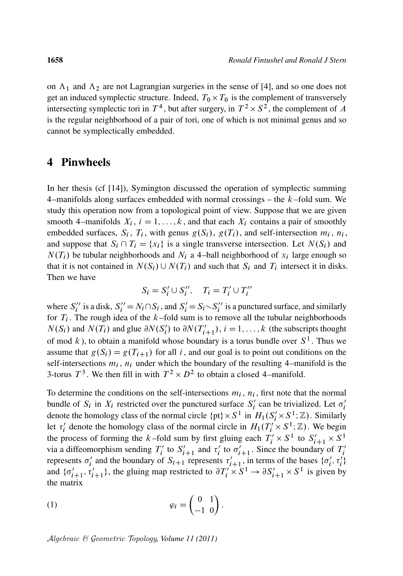on  $\Lambda_1$  and  $\Lambda_2$  are not Lagrangian surgeries in the sense of [4], and so one does not get an induced symplectic structure. Indeed,  $T_0 \times T_0$  is the complement of transversely intersecting symplectic tori in  $T^4$ , but after surgery, in  $T^2 \times S^2$ , the complement of A is the regular neighborhood of a pair of tori, one of which is not minimal genus and so cannot be symplectically embedded.

#### 4 Pinwheels

In her thesis (cf [14]), Symington discussed the operation of symplectic summing 4–manifolds along surfaces embedded with normal crossings  $-$  the  $k$ –fold sum. We study this operation now from a topological point of view. Suppose that we are given smooth 4–manifolds  $X_i$ ,  $i = 1, ..., k$ , and that each  $X_i$  contains a pair of smoothly embedded surfaces,  $S_i$ ,  $T_i$ , with genus  $g(S_i)$ ,  $g(T_i)$ , and self-intersection  $m_i$ ,  $n_i$ , and suppose that  $S_i \cap T_i = \{x_i\}$  is a single transverse intersection. Let  $N(S_i)$  and  $N(T_i)$  be tubular neighborhoods and  $N_i$  a 4-ball neighborhood of  $x_i$  large enough so that it is not contained in  $N(S_i) \cup N(T_i)$  and such that  $S_i$  and  $T_i$  intersect it in disks. Then we have

$$
S_i = S_i' \cup S_i'', \quad T_i = T_i' \cup T_i''
$$

where  $S_i'$ i  $\prime$  is a disk,  $S_i'$  $S_i' = N_i \cap S_i$ , and  $S_i' = S_i \setminus S_i'$ i ' is a punctured surface, and similarly for  $T_i$ . The rough idea of the  $k$ -fold sum is to remove all the tubular neighborhoods  $N(S_i)$  and  $N(T_i)$  and glue  $\partial N(S'_i)$  $i<sub>i</sub>$ ) to  $\partial N(T'_{i+1}), i = 1, ..., k$  (the subscripts thought of mod k), to obtain a manifold whose boundary is a torus bundle over  $S^1$ . Thus we assume that  $g(S_i) = g(T_{i+1})$  for all i, and our goal is to point out conditions on the self-intersections  $m_i$ ,  $n_i$  under which the boundary of the resulting 4–manifold is the 3-torus  $T^3$ . We then fill in with  $T^2 \times D^2$  to obtain a closed 4-manifold.

To determine the conditions on the self-intersections  $m_i$ ,  $n_i$ , first note that the normal bundle of  $S_i$  in  $X_i$  restricted over the punctured surface  $S_i'$  $\sigma_i'$  can be trivialized. Let  $\sigma_i'$ i denote the homology class of the normal circle  $\{pt\} \times S^1$  in  $H_1(S_i' \times S^1; \mathbb{Z})$ . Similarly let  $\tau_i'$ <sup>i</sup> denote the homology class of the normal circle in  $H_1(T_i' \times S^1; \mathbb{Z})$ . We begin the process of forming the k-fold sum by first gluing each  $T'_i \times S^1$  to  $S'_{i+1} \times S^1$ via a diffeomorphism sending  $T_i'$ " to  $S'_{i+1}$  and  $\tau'_{i}$  $\sum_{i=1}^{\infty}$  to  $\sigma'_{i+1}$ . Since the boundary of  $T'_i$ i represents  $\sigma_i'$ <sup>i</sup><sub>i</sub> and the boundary of  $S_{i+1}$  represents  $\tau_{i+1}$ , in terms of the bases  $\{\sigma_i\}$  $\mathcal{L}_i', \tau_i'$ and  $\{\sigma'_{i+1}, \tau'_{i+1}\}\$ , the gluing map restricted to  $\partial T'_i \times S^1 \to \partial S'_{i+1} \times S^1$  is given by the matrix

$$
\varphi_i = \begin{pmatrix} 0 & 1 \\ -1 & 0 \end{pmatrix}.
$$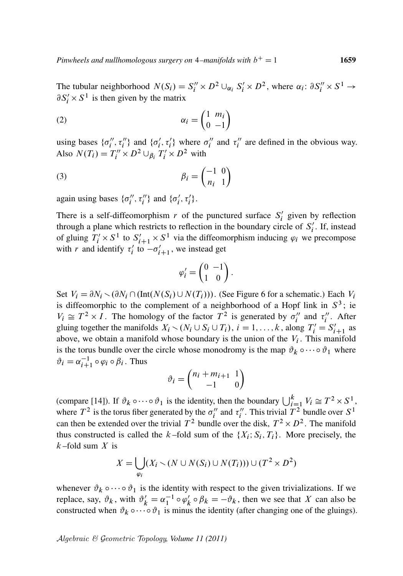The tubular neighborhood  $N(S_i) = S_i'' \times D^2 \cup_{\alpha_i} S_i' \times D^2$ , where  $\alpha_i : \partial S_i'' \times S^1 \to$  $\partial S_i' \times S^1$  is then given by the matrix

$$
\alpha_i = \begin{pmatrix} 1 & m_i \\ 0 & -1 \end{pmatrix}
$$

using bases  $\{\sigma''_i\}$  $\{\sigma_i^{\prime\prime}, \tau_i^{\prime\prime}\}$  and  $\{\sigma_i^{\prime\prime}\}$  $\langle i, \tau'_i \rangle$  where  $\sigma''_i$  $\int_{i}^{\prime\prime}$  and  $\tau_{i}^{\prime\prime}$  $i'$  are defined in the obvious way. Also  $N(T_i) = T_i'' \times D^2 \cup_{\beta_i} T_i' \times D^2$  with

$$
\beta_i = \begin{pmatrix} -1 & 0 \\ n_i & 1 \end{pmatrix}
$$

again using bases  $\{\sigma''_i\}$  $\{\sigma_i^{\prime\prime}, \tau_i^{\prime\prime}\}\$  and  $\{\sigma_i^{\prime}\}$  $'_{i}, \tau'_{i}$ .

There is a self-diffeomorphism  $r$  of the punctured surface  $S_i'$  $i'$  given by reflection through a plane which restricts to reflection in the boundary circle of  $S_i'$  $i'$ . If, instead of gluing  $T'_i \times S^1$  to  $S'_{i+1} \times S^1$  via the diffeomorphism inducing  $\varphi_i$  we precompose with r and identify  $\tau_i'$  $\int_{i}^{t+1}$  to  $-\sigma'_{i+1}$ , we instead get

$$
\varphi_i' = \begin{pmatrix} 0 & -1 \\ 1 & 0 \end{pmatrix}.
$$

Set  $V_i = \partial N_i \setminus (\partial N_i \cap (\text{Int}(N(S_i) \cup N(T_i)))$ . (See Figure 6 for a schematic.) Each  $V_i$ is diffeomorphic to the complement of a neighborhood of a Hopf link in  $S^3$ ; ie  $V_i \cong T^2 \times I$ . The homology of the factor  $T^2$  is generated by  $\sigma_i''$  $\int_{i}^{\prime\prime}$  and  $\tau_{i}^{\prime\prime}$  $i''$ . After gluing together the manifolds  $X_i \setminus (N_i \cup S_i \cup T_i)$ ,  $i = 1, ..., k$ , along  $T'_i = S'_{i+1}$  as above, we obtain a manifold whose boundary is the union of the  $V_i$ . This manifold is the torus bundle over the circle whose monodromy is the map  $\vartheta_k \circ \cdots \circ \vartheta_1$  where  $\vartheta_i = \alpha_{i+1}^{-1} \circ \varphi_i \circ \beta_i$ . Thus

$$
\vartheta_i = \begin{pmatrix} n_i + m_{i+1} & 1 \\ -1 & 0 \end{pmatrix}
$$

(compare [14]). If  $\vartheta_k \circ \cdots \circ \vartheta_1$  is the identity, then the boundary  $\bigcup_{i=1}^k V_i \cong T^2 \times S^1$ , where  $T^2$  is the torus fiber generated by the  $\sigma_i''$  $\int_{i}^{\prime\prime}$  and  $\tau_{i}^{\prime\prime}$ ". This trivial  $T^2$  bundle over  $S^1$ can then be extended over the trivial  $T^2$  bundle over the disk,  $T^2 \times D^2$ . The manifold thus constructed is called the k-fold sum of the  $\{X_i; S_i, T_i\}$ . More precisely, the  $k$ -fold sum  $X$  is

$$
X = \bigcup_{\varphi_i} (X_i \setminus (N \cup N(S_i) \cup N(T_i))) \cup (T^2 \times D^2)
$$

whenever  $\vartheta_k \circ \cdots \circ \vartheta_1$  is the identity with respect to the given trivializations. If we replace, say,  $\vartheta_k$ , with  $\vartheta'_k = \alpha_1^{-1} \circ \varphi'_k$  $\int_k' \circ \beta_k = -\vartheta_k$ , then we see that X can also be constructed when  $\vartheta_k \circ \cdots \circ \vartheta_1$  is minus the identity (after changing one of the gluings).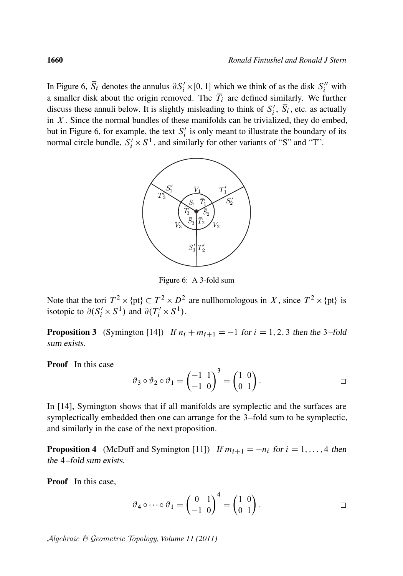In Figure 6,  $\overline{S}_i$  denotes the annulus  $\partial S'_i \times [0, 1]$  which we think of as the disk  $S''_i$  with a smaller disk about the origin removed. The  $\overline{T}_i$  are defined similarly. We further discuss these annuli below. It is slightly misleading to think of  $S_i'$  $i'$ ,  $\overline{S}_i$ , etc. as actually in  $X$ . Since the normal bundles of these manifolds can be trivialized, they do embed, but in Figure 6, for example, the text  $S_i'$  $i$  is only meant to illustrate the boundary of its normal circle bundle,  $S_i' \times S^1$ , and similarly for other variants of "S" and "T".



Figure 6: A 3-fold sum

Note that the tori  $T^2 \times \{pt\} \subset T^2 \times D^2$  are nullhomologous in X, since  $T^2 \times \{pt\}$  is isotopic to  $\partial(S'_i \times S^1)$  and  $\partial(T'_i \times S^1)$ .

**Proposition 3** (Symington [14]) If  $n_i + m_{i+1} = -1$  for  $i = 1, 2, 3$  then the 3-fold sum exists.

Proof In this case

$$
\vartheta_3 \circ \vartheta_2 \circ \vartheta_1 = \begin{pmatrix} -1 & 1 \\ -1 & 0 \end{pmatrix}^3 = \begin{pmatrix} 1 & 0 \\ 0 & 1 \end{pmatrix}.
$$

In [14], Symington shows that if all manifolds are symplectic and the surfaces are symplectically embedded then one can arrange for the 3–fold sum to be symplectic, and similarly in the case of the next proposition.

**Proposition 4** (McDuff and Symington [11]) If  $m_{i+1} = -n_i$  for  $i = 1, \ldots, 4$  then the 4–fold sum exists.

Proof In this case,

$$
\vartheta_4 \circ \cdots \circ \vartheta_1 = \begin{pmatrix} 0 & 1 \\ -1 & 0 \end{pmatrix}^4 = \begin{pmatrix} 1 & 0 \\ 0 & 1 \end{pmatrix}.
$$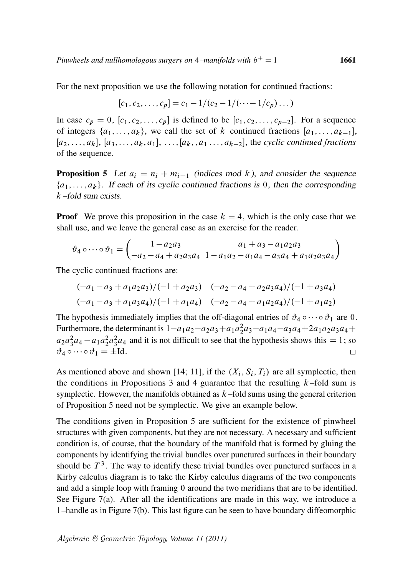For the next proposition we use the following notation for continued fractions:

$$
[c_1, c_2, \ldots, c_p] = c_1 - 1/(c_2 - 1/(\cdots - 1/c_p) \ldots)
$$

In case  $c_p = 0$ ,  $[c_1, c_2, \ldots, c_p]$  is defined to be  $[c_1, c_2, \ldots, c_{p-2}]$ . For a sequence of integers  $\{a_1, \ldots, a_k\}$ , we call the set of k continued fractions  $[a_1, \ldots, a_{k-1}],$  $[a_2, \ldots, a_k], [a_3, \ldots, a_k, a_1], \ldots, [a_k, a_1, \ldots, a_{k-2}],$  the *cyclic continued fractions* of the sequence.

**Proposition 5** Let  $a_i = n_i + m_{i+1}$  (indices mod k), and consider the sequence  $\{a_1, \ldots, a_k\}$ . If each of its cyclic continued fractions is 0, then the corresponding k –fold sum exists.

**Proof** We prove this proposition in the case  $k = 4$ , which is the only case that we shall use, and we leave the general case as an exercise for the reader.

$$
\vartheta_4 \circ \cdots \circ \vartheta_1 = \begin{pmatrix} 1 - a_2 a_3 & a_1 + a_3 - a_1 a_2 a_3 \\ -a_2 - a_4 + a_2 a_3 a_4 & 1 - a_1 a_2 - a_1 a_4 - a_3 a_4 + a_1 a_2 a_3 a_4 \end{pmatrix}
$$

The cyclic continued fractions are:

$$
(-a_1 - a_3 + a_1 a_2 a_3)/(-1 + a_2 a_3) \quad (-a_2 - a_4 + a_2 a_3 a_4)/(-1 + a_3 a_4)
$$
  

$$
(-a_1 - a_3 + a_1 a_3 a_4)/(-1 + a_1 a_4) \quad (-a_2 - a_4 + a_1 a_2 a_4)/(-1 + a_1 a_2)
$$

The hypothesis immediately implies that the off-diagonal entries of  $\vartheta_4 \circ \cdots \circ \vartheta_1$  are 0. Furthermore, the determinant is  $1-a_1a_2-a_2a_3+a_1a_2^2a_3-a_1a_4-a_3a_4+2a_1a_2a_3a_4+$  $a_2 a_3^2 a_4 - a_1 a_2^2 a_3^2 a_4$  and it is not difficult to see that the hypothesis shows this = 1; so  $\vartheta_4 \circ \cdots \circ \vartheta_1 = \pm \mathrm{Id}.$  $\Box$ 

As mentioned above and shown [14; 11], if the  $(X_i, S_i, T_i)$  are all symplectic, then the conditions in Propositions 3 and 4 guarantee that the resulting  $k$ -fold sum is symplectic. However, the manifolds obtained as  $k$ -fold sums using the general criterion of Proposition 5 need not be symplectic. We give an example below.

The conditions given in Proposition 5 are sufficient for the existence of pinwheel structures with given components, but they are not necessary. A necessary and sufficient condition is, of course, that the boundary of the manifold that is formed by gluing the components by identifying the trivial bundles over punctured surfaces in their boundary should be  $T<sup>3</sup>$ . The way to identify these trivial bundles over punctured surfaces in a Kirby calculus diagram is to take the Kirby calculus diagrams of the two components and add a simple loop with framing 0 around the two meridians that are to be identified. See Figure 7(a). After all the identifications are made in this way, we introduce a 1–handle as in Figure 7(b). This last figure can be seen to have boundary diffeomorphic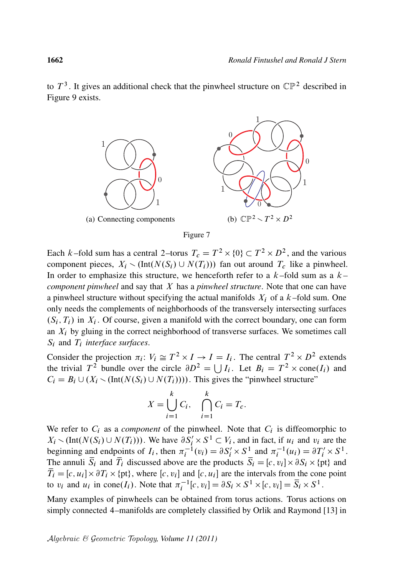to  $T<sup>3</sup>$ . It gives an additional check that the pinwheel structure on  $\mathbb{CP}^2$  described in Figure 9 exists.





Each k–fold sum has a central 2–torus  $T_c = T^2 \times \{0\} \subset T^2 \times D^2$ , and the various component pieces,  $X_i \setminus (Int(N(S_i) \cup N(T_i)))$  fan out around  $T_c$  like a pinwheel. In order to emphasize this structure, we henceforth refer to a  $k$ -fold sum as a  $k$ *component pinwheel* and say that X has a *pinwheel structure*. Note that one can have a pinwheel structure without specifying the actual manifolds  $X_i$  of a  $k$ -fold sum. One only needs the complements of neighborhoods of the transversely intersecting surfaces  $(S_i, T_i)$  in  $X_i$ . Of course, given a manifold with the correct boundary, one can form an  $X_i$  by gluing in the correct neighborhood of transverse surfaces. We sometimes call  $S_i$  and  $T_i$  *interface surfaces.* 

Consider the projection  $\pi_i: V_i \cong T^2 \times I \to I = I_i$ . The central  $T^2 \times D^2$  extends the trivial  $T^2$  bundle over the circle  $\partial D^2 = \bigcup I_i$ . Let  $B_i = T^2 \times \text{cone}(I_i)$  and  $C_i = B_i \cup (X_i \setminus (Int(N(S_i) \cup N(T_i))))$ . This gives the "pinwheel structure"

$$
X = \bigcup_{i=1}^{k} C_i, \quad \bigcap_{i=1}^{k} C_i = T_c.
$$

We refer to  $C_i$  as a *component* of the pinwheel. Note that  $C_i$  is diffeomorphic to  $X_i \setminus (\text{Int}(N(S_i) \cup N(T_i)))$ . We have  $\partial S_i' \times S^1 \subset V_i$ , and in fact, if  $u_i$  and  $v_i$  are the beginning and endpoints of  $I_i$ , then  $\pi_i^{-1}(v_i) = \partial S_i' \times S_{-}^1$  and  $\pi_i^{-1}(u_i) = \partial T_i' \times S^1$ . The annuli  $\overline{S}_i$  and  $\overline{T}_i$  discussed above are the products  $\overline{S}_i = [c, v_i] \times \partial S_i \times \{pt\}$  and  $\overline{T}_i = [c, u_i] \times \partial T_i \times \{\text{pt}\},$  where  $[c, v_i]$  and  $[c, u_i]$  are the intervals from the cone point to  $v_i$  and  $u_i$  in cone  $(I_i)$ . Note that  $\pi_i^{-1}[c, v_i] = \partial S_i \times S^1 \times [c, v_i] = \overline{S}_i \times S^1$ .

Many examples of pinwheels can be obtained from torus actions. Torus actions on simply connected 4–manifolds are completely classified by Orlik and Raymond [13] in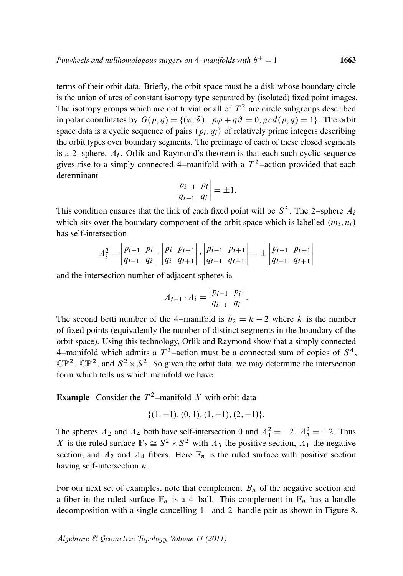terms of their orbit data. Briefly, the orbit space must be a disk whose boundary circle is the union of arcs of constant isotropy type separated by (isolated) fixed point images. The isotropy groups which are not trivial or all of  $T<sup>2</sup>$  are circle subgroups described in polar coordinates by  $G(p,q) = \{(\varphi, \vartheta) \mid p\varphi + q\vartheta = 0, \gcd(p,q) = 1\}$ . The orbit space data is a cyclic sequence of pairs  $(p_i, q_i)$  of relatively prime integers describing the orbit types over boundary segments. The preimage of each of these closed segments is a 2-sphere,  $A_i$ . Orlik and Raymond's theorem is that each such cyclic sequence gives rise to a simply connected 4–manifold with a  $T^2$ –action provided that each determinant

$$
\begin{vmatrix} p_{i-1} & p_i \\ q_{i-1} & q_i \end{vmatrix} = \pm 1.
$$

This condition ensures that the link of each fixed point will be  $S^3$ . The 2-sphere  $A_i$ which sits over the boundary component of the orbit space which is labelled  $(m_i, n_i)$ has self-intersection

$$
A_i^2 = \begin{vmatrix} p_{i-1} & p_i \\ q_{i-1} & q_i \end{vmatrix} \cdot \begin{vmatrix} p_i & p_{i+1} \\ q_i & q_{i+1} \end{vmatrix} \cdot \begin{vmatrix} p_{i-1} & p_{i+1} \\ q_{i-1} & q_{i+1} \end{vmatrix} = \pm \begin{vmatrix} p_{i-1} & p_{i+1} \\ q_{i-1} & q_{i+1} \end{vmatrix}
$$

and the intersection number of adjacent spheres is

$$
A_{i-1} \cdot A_i = \begin{vmatrix} p_{i-1} & p_i \\ q_{i-1} & q_i \end{vmatrix}.
$$

The second betti number of the 4–manifold is  $b_2 = k - 2$  where k is the number of fixed points (equivalently the number of distinct segments in the boundary of the orbit space). Using this technology, Orlik and Raymond show that a simply connected 4–manifold which admits a  $T^2$ –action must be a connected sum of copies of  $S^4$ ,  $\mathbb{CP}^2$ ,  $\overline{\mathbb{CP}}^2$ , and  $S^2 \times S^2$ . So given the orbit data, we may determine the intersection form which tells us which manifold we have.

**Example** Consider the  $T^2$ -manifold X with orbit data

$$
\{(1,-1), (0,1), (1,-1), (2,-1)\}.
$$

The spheres  $A_2$  and  $A_4$  both have self-intersection 0 and  $A_1^2 = -2$ ,  $A_3^2 = +2$ . Thus X is the ruled surface  $\mathbb{F}_2 \cong S^2 \times S^2$  with  $A_3$  the positive section,  $A_1$  the negative section, and  $A_2$  and  $A_4$  fibers. Here  $\mathbb{F}_n$  is the ruled surface with positive section having self-intersection  $n$ .

For our next set of examples, note that complement  $B_n$  of the negative section and a fiber in the ruled surface  $\mathbb{F}_n$  is a 4-ball. This complement in  $\mathbb{F}_n$  has a handle decomposition with a single cancelling 1– and 2–handle pair as shown in Figure 8.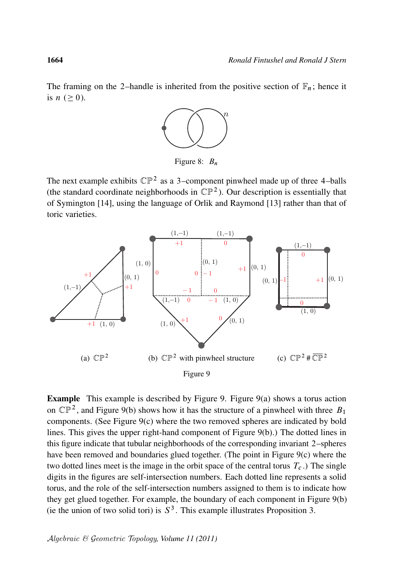The framing on the 2–handle is inherited from the positive section of  $\mathbb{F}_n$ ; hence it is  $n \geq 0$ ).



Figure 8:  $B_n$ 

The next example exhibits  $\mathbb{CP}^2$  as a 3-component pinwheel made up of three 4-balls (the standard coordinate neighborhoods in  $\mathbb{CP}^2$ ). Our description is essentially that of Symington [14], using the language of Orlik and Raymond [13] rather than that of toric varieties.



**Example** This example is described by Figure 9. Figure  $9(a)$  shows a torus action on  $\mathbb{CP}^2$ , and Figure 9(b) shows how it has the structure of a pinwheel with three  $B_1$ components. (See Figure 9(c) where the two removed spheres are indicated by bold lines. This gives the upper right-hand component of Figure 9(b).) The dotted lines in this figure indicate that tubular neighborhoods of the corresponding invariant 2–spheres have been removed and boundaries glued together. (The point in Figure 9(c) where the two dotted lines meet is the image in the orbit space of the central torus  $T_c$ .) The single digits in the figures are self-intersection numbers. Each dotted line represents a solid torus, and the role of the self-intersection numbers assigned to them is to indicate how they get glued together. For example, the boundary of each component in Figure 9(b) (ie the union of two solid tori) is  $S<sup>3</sup>$ . This example illustrates Proposition 3.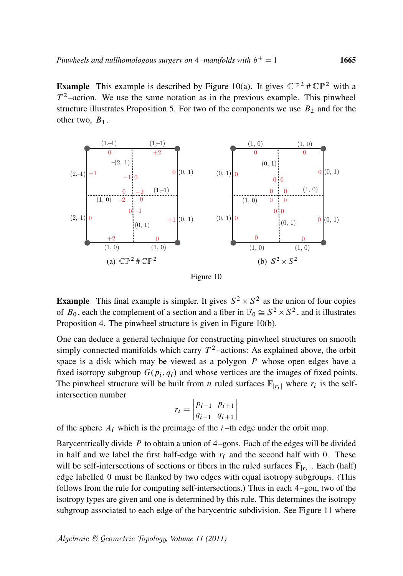**Example** This example is described by Figure 10(a). It gives  $\mathbb{CP}^2 \# \mathbb{CP}^2$  with a  $T^2$ -action. We use the same notation as in the previous example. This pinwheel structure illustrates Proposition 5. For two of the components we use  $B_2$  and for the other two,  $B_1$ .



Figure 10

**Example** This final example is simpler. It gives  $S^2 \times S^2$  as the union of four copies of  $B_0$ , each the complement of a section and a fiber in  $\mathbb{F}_0 \cong S^2 \times S^2$ , and it illustrates Proposition 4. The pinwheel structure is given in Figure 10(b).

One can deduce a general technique for constructing pinwheel structures on smooth simply connected manifolds which carry  $T^2$ -actions: As explained above, the orbit space is a disk which may be viewed as a polygon  $P$  whose open edges have a fixed isotropy subgroup  $G(p_i, q_i)$  and whose vertices are the images of fixed points. The pinwheel structure will be built from *n* ruled surfaces  $\mathbb{F}_{|r_i|}$  where  $r_i$  is the selfintersection number

$$
r_i = \begin{vmatrix} p_{i-1} & p_{i+1} \\ q_{i-1} & q_{i+1} \end{vmatrix}
$$

of the sphere  $A_i$  which is the preimage of the  $i$ -th edge under the orbit map.

Barycentrically divide  $P$  to obtain a union of 4–gons. Each of the edges will be divided in half and we label the first half-edge with  $r_i$  and the second half with 0. These will be self-intersections of sections or fibers in the ruled surfaces  $\mathbb{F}_{|r_i|}$ . Each (half) edge labelled 0 must be flanked by two edges with equal isotropy subgroups. (This follows from the rule for computing self-intersections.) Thus in each 4–gon, two of the isotropy types are given and one is determined by this rule. This determines the isotropy subgroup associated to each edge of the barycentric subdivision. See Figure 11 where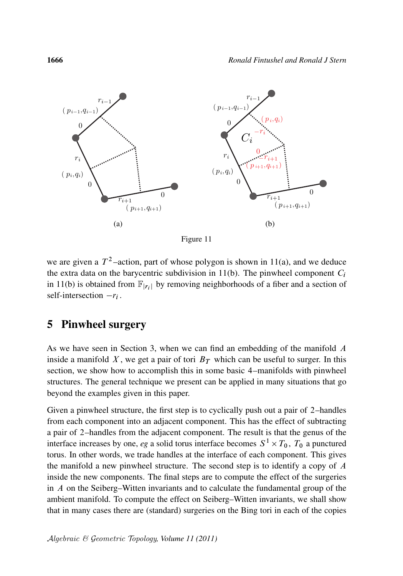

Figure 11

we are given a  $T^2$ -action, part of whose polygon is shown in 11(a), and we deduce the extra data on the barycentric subdivision in 11(b). The pinwheel component  $C_i$ in 11(b) is obtained from  $\mathbb{F}_{|r_i|}$  by removing neighborhoods of a fiber and a section of self-intersection  $-r_i$ .

# 5 Pinwheel surgery

As we have seen in Section 3, when we can find an embedding of the manifold A inside a manifold X, we get a pair of tori  $B<sub>T</sub>$  which can be useful to surger. In this section, we show how to accomplish this in some basic 4–manifolds with pinwheel structures. The general technique we present can be applied in many situations that go beyond the examples given in this paper.

Given a pinwheel structure, the first step is to cyclically push out a pair of 2–handles from each component into an adjacent component. This has the effect of subtracting a pair of 2–handles from the adjacent component. The result is that the genus of the interface increases by one, *eg* a solid torus interface becomes  $S^1 \times T_0$ ,  $T_0$  a punctured torus. In other words, we trade handles at the interface of each component. This gives the manifold a new pinwheel structure. The second step is to identify a copy of A inside the new components. The final steps are to compute the effect of the surgeries in A on the Seiberg–Witten invariants and to calculate the fundamental group of the ambient manifold. To compute the effect on Seiberg–Witten invariants, we shall show that in many cases there are (standard) surgeries on the Bing tori in each of the copies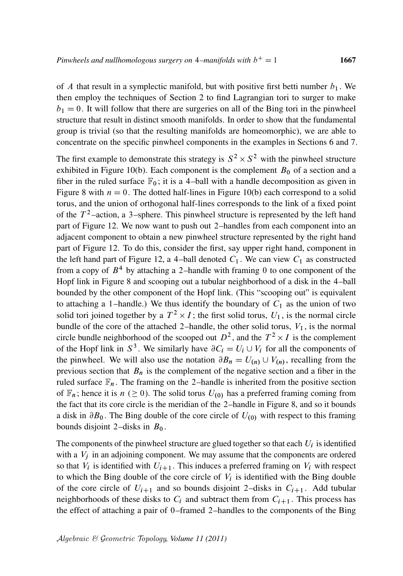of A that result in a symplectic manifold, but with positive first betti number  $b_1$ . We then employ the techniques of Section 2 to find Lagrangian tori to surger to make  $b_1 = 0$ . It will follow that there are surgeries on all of the Bing tori in the pinwheel structure that result in distinct smooth manifolds. In order to show that the fundamental group is trivial (so that the resulting manifolds are homeomorphic), we are able to concentrate on the specific pinwheel components in the examples in Sections 6 and 7.

The first example to demonstrate this strategy is  $S^2 \times S^2$  with the pinwheel structure exhibited in Figure 10(b). Each component is the complement  $B_0$  of a section and a fiber in the ruled surface  $\mathbb{F}_0$ ; it is a 4-ball with a handle decomposition as given in Figure 8 with  $n = 0$ . The dotted half-lines in Figure 10(b) each correspond to a solid torus, and the union of orthogonal half-lines corresponds to the link of a fixed point of the  $T^2$ -action, a 3-sphere. This pinwheel structure is represented by the left hand part of Figure 12. We now want to push out 2–handles from each component into an adjacent component to obtain a new pinwheel structure represented by the right hand part of Figure 12. To do this, consider the first, say upper right hand, component in the left hand part of Figure 12, a 4-ball denoted  $C_1$ . We can view  $C_1$  as constructed from a copy of  $B<sup>4</sup>$  by attaching a 2-handle with framing 0 to one component of the Hopf link in Figure 8 and scooping out a tubular neighborhood of a disk in the 4–ball bounded by the other component of the Hopf link. (This "scooping out" is equivalent to attaching a 1–handle.) We thus identify the boundary of  $C_1$  as the union of two solid tori joined together by a  $T^2 \times I$ ; the first solid torus,  $U_1$ , is the normal circle bundle of the core of the attached 2–handle, the other solid torus,  $V_1$ , is the normal circle bundle neighborhood of the scooped out  $D^2$ , and the  $T^2 \times I$  is the complement of the Hopf link in  $S^3$ . We similarly have  $\partial C_i = U_i \cup V_i$  for all the components of the pinwheel. We will also use the notation  $\partial B_n = U_{(n)} \cup V_{(n)}$ , recalling from the previous section that  $B_n$  is the complement of the negative section and a fiber in the ruled surface  $\mathbb{F}_n$ . The framing on the 2-handle is inherited from the positive section of  $\mathbb{F}_n$ ; hence it is  $n \geq 0$ ). The solid torus  $U_{(0)}$  has a preferred framing coming from the fact that its core circle is the meridian of the 2–handle in Figure 8, and so it bounds a disk in  $\partial B_0$ . The Bing double of the core circle of  $U_{(0)}$  with respect to this framing bounds disjoint 2–disks in  $B_0$ .

The components of the pinwheel structure are glued together so that each  $U_i$  is identified with a  $V_i$  in an adjoining component. We may assume that the components are ordered so that  $V_i$  is identified with  $U_{i+1}$ . This induces a preferred framing on  $V_i$  with respect to which the Bing double of the core circle of  $V_i$  is identified with the Bing double of the core circle of  $U_{i+1}$  and so bounds disjoint 2–disks in  $C_{i+1}$ . Add tubular neighborhoods of these disks to  $C_i$  and subtract them from  $C_{i+1}$ . This process has the effect of attaching a pair of 0–framed 2–handles to the components of the Bing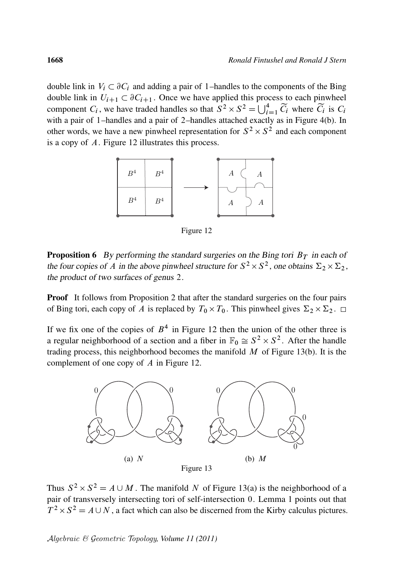double link in  $V_i \subset \partial C_i$  and adding a pair of 1–handles to the components of the Bing double link in  $U_{i+1} \subset \partial C_{i+1}$ . Once we have applied this process to each pinwheel component  $C_i$ , we have traded handles so that  $S^2 \times S^2 = \bigcup_{i=1}^4 \widetilde{C}_i$  where  $\widetilde{C}_i$  is  $C_i$ with a pair of 1–handles and a pair of 2–handles attached exactly as in Figure 4(b). In other words, we have a new pinwheel representation for  $S^2 \times S^2$  and each component is a copy of A. Figure 12 illustrates this process.



Figure 12

**Proposition 6** By performing the standard surgeries on the Bing tori  $B_T$  in each of the four copies of A in the above pinwheel structure for  $S^2 \times S^2$ , one obtains  $\Sigma_2 \times \Sigma_2$ , the product of two surfaces of genus 2.

**Proof** It follows from Proposition 2 that after the standard surgeries on the four pairs of Bing tori, each copy of A is replaced by  $T_0 \times T_0$ . This pinwheel gives  $\Sigma_2 \times \Sigma_2$ .

If we fix one of the copies of  $B<sup>4</sup>$  in Figure 12 then the union of the other three is a regular neighborhood of a section and a fiber in  $\mathbb{F}_0 \cong S^2 \times S^2$ . After the handle trading process, this neighborhood becomes the manifold  $M$  of Figure 13(b). It is the complement of one copy of A in Figure 12.



Thus  $S^2 \times S^2 = A \cup M$ . The manifold N of Figure 13(a) is the neighborhood of a pair of transversely intersecting tori of self-intersection 0. Lemma 1 points out that  $T^2 \times S^2 = A \cup N$ , a fact which can also be discerned from the Kirby calculus pictures.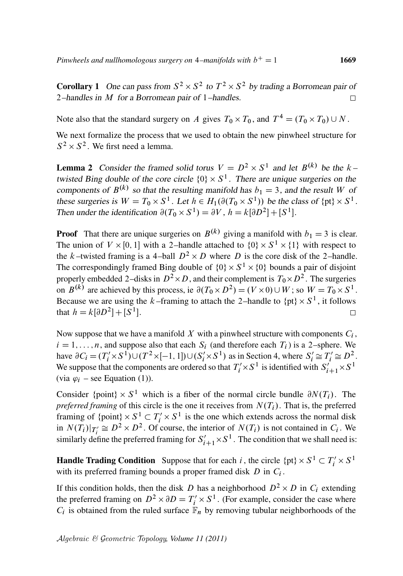**Corollary 1** One can pass from  $S^2 \times S^2$  to  $T^2 \times S^2$  by trading a Borromean pair of 2–handles in M for a Borromean pair of 1–handles.  $\Box$ 

Note also that the standard surgery on A gives  $T_0 \times T_0$ , and  $T^4 = (T_0 \times T_0) \cup N$ .

We next formalize the process that we used to obtain the new pinwheel structure for  $S^2 \times S^2$ . We first need a lemma.

**Lemma 2** Consider the framed solid torus  $V = D^2 \times S^1$  and let  $B^{(k)}$  be the k – twisted Bing double of the core circle  $\{0\} \times S^1$ . There are unique surgeries on the components of  $B^{(k)}$  so that the resulting manifold has  $b_1 = 3$ , and the result W of these surgeries is  $W = T_0 \times S^1$ . Let  $h \in H_1(\partial (T_0 \times S^1))$  be the class of  $\{pt\} \times S^1$ . Then under the identification  $\partial(T_0 \times S^1) = \partial V$ ,  $h = k[\partial D^2] + [S^1]$ .

**Proof** That there are unique surgeries on  $B^{(k)}$  giving a manifold with  $b_1 = 3$  is clear. The union of  $V \times [0, 1]$  with a 2-handle attached to  $\{0\} \times S^1 \times \{1\}$  with respect to the k-twisted framing is a 4-ball  $D^2 \times D$  where D is the core disk of the 2-handle. The correspondingly framed Bing double of  $\{0\} \times S^1 \times \{0\}$  bounds a pair of disjoint properly embedded 2–disks in  $D^2 \times D$ , and their complement is  $T_0 \times D^2$ . The surgeries on  $B^{(k)}$  are achieved by this process, ie  $\partial(T_0 \times D^2) = (V \times 0) \cup W$ ; so  $W = T_0 \times S^1$ . Because we are using the k–framing to attach the 2–handle to  $\{pt\} \times S^1$ , it follows that  $h = k[\partial D^2] + [S^1]$ .  $\Box$ 

Now suppose that we have a manifold X with a pinwheel structure with components  $C_i$ ,  $i = 1, \ldots, n$ , and suppose also that each  $S_i$  (and therefore each  $T_i$ ) is a 2–sphere. We have  $\partial C_i = (T'_i \times S^1) \cup (T^2 \times [-1, 1]) \cup (S'_i \times S^1)$  as in Section 4, where  $S'_i \cong T'_i \cong D^2$ . We suppose that the components are ordered so that  $T'_i \times S^1$  is identified with  $S'_{i+1} \times S^1$ (via  $\varphi_i$  – see Equation (1)).

Consider {point}  $\times S^1$  which is a fiber of the normal circle bundle  $\partial N(T_i)$ . The *preferred framing* of this circle is the one it receives from  $N(T_i)$ . That is, the preferred framing of  $\{\text{point}\}\times S^1 \subset T'_i \times S^1$  is the one which extends across the normal disk in  $N(T_i)|_{T_i'} \cong D^2 \times D^2$ . Of course, the interior of  $N(T_i)$  is not contained in  $C_i$ . We similarly define the preferred framing for  $S'_{i+1} \times S^1$ . The condition that we shall need is:

**Handle Trading Condition** Suppose that for each i, the circle  $\{pt\} \times S^1 \subset T'_i \times S^1$ with its preferred framing bounds a proper framed disk  $D$  in  $C_i$ .

If this condition holds, then the disk D has a neighborhood  $D^2 \times D$  in  $C_i$  extending the preferred framing on  $D^2 \times \partial D = T'_i \times S^1$ . (For example, consider the case where  $C_i$  is obtained from the ruled surface  $\mathbb{F}_n$  by removing tubular neighborhoods of the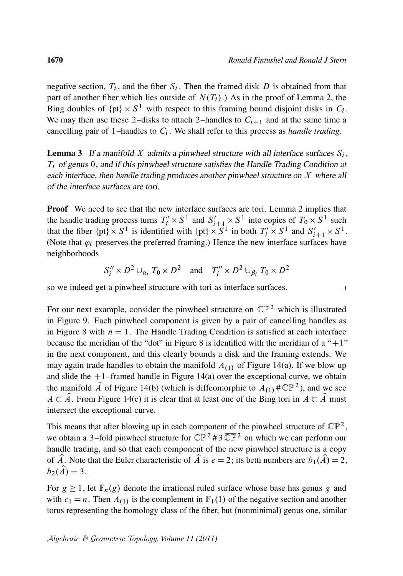$\Box$ 

negative section,  $T_i$ , and the fiber  $S_i$ . Then the framed disk D is obtained from that part of another fiber which lies outside of  $N(T_i)$ .) As in the proof of Lemma 2, the Bing doubles of  $\{pt\} \times S^1$  with respect to this framing bound disjoint disks in  $C_i$ . We may then use these 2-disks to attach 2-handles to  $C_{i+1}$  and at the same time a cancelling pair of 1-handles to  $C_i$ . We shall refer to this process as *handle trading*.

**Lemma 3** If a manifold X admits a pinwheel structure with all interface surfaces  $S_i$ ,  $T_i$  of genus 0, and if this pinwheel structure satisfies the Handle Trading Condition at each interface, then handle trading produces another pinwheel structure on  $X$  where all of the interface surfaces are tori.

**Proof** We need to see that the new interface surfaces are tori. Lemma 2 implies that the handle trading process turns  $T'_i \times S^1$  and  $S'_{i+1} \times S^1$  into copies of  $T_0 \times S^1$  such that the fiber  $\{pt\} \times S^1$  is identified with  $\{pt\} \times S^1$  in both  $T'_i \times S^1$  and  $S'_{i+1} \times S^1$ . (Note that  $\varphi_i$  preserves the preferred framing.) Hence the new interface surfaces have neighborhoods

$$
S_i'' \times D^2 \cup_{\alpha_i} T_0 \times D^2
$$
 and  $T_i'' \times D^2 \cup_{\beta_i} T_0 \times D^2$ 

so we indeed get a pinwheel structure with tori as interface surfaces.

For our next example, consider the pinwheel structure on  $\mathbb{CP}^2$  which is illustrated in Figure 9. Each pinwheel component is given by a pair of cancelling handles as in Figure 8 with  $n = 1$ . The Handle Trading Condition is satisfied at each interface because the meridian of the "dot" in Figure 8 is identified with the meridian of a " $+1$ " in the next component, and this clearly bounds a disk and the framing extends. We may again trade handles to obtain the manifold  $A_{(1)}$  of Figure 14(a). If we blow up and slide the  $+1$ –framed handle in Figure 14(a) over the exceptional curve, we obtain the manifold  $\hat{A}$  of Figure 14(b) (which is diffeomorphic to  $A_{(1)} \# \overline{\mathbb{CP}}^2$ ), and we see  $A \subset \hat{A}$ . From Figure 14(c) it is clear that at least one of the Bing tori in  $A \subset \hat{A}$  must intersect the exceptional curve.

This means that after blowing up in each component of the pinwheel structure of  $\mathbb{CP}^2$ , we obtain a 3–fold pinwheel structure for  $\mathbb{CP}^2$  #3  $\overline{\mathbb{CP}}^2$  on which we can perform our handle trading, and so that each component of the new pinwheel structure is a copy of  $\hat{A}$ . Note that the Euler characteristic of  $\hat{A}$  is  $e = 2$ ; its betti numbers are  $b_1(\hat{A}) = 2$ ,  $b_2(\hat{A}) = 3.$ 

For  $g \ge 1$ , let  $\mathbb{F}_n(g)$  denote the irrational ruled surface whose base has genus g and with  $c_1 = n$ . Then  $A_{(1)}$  is the complement in  $\mathbb{F}_1(1)$  of the negative section and another torus representing the homology class of the fiber, but (nonminimal) genus one, similar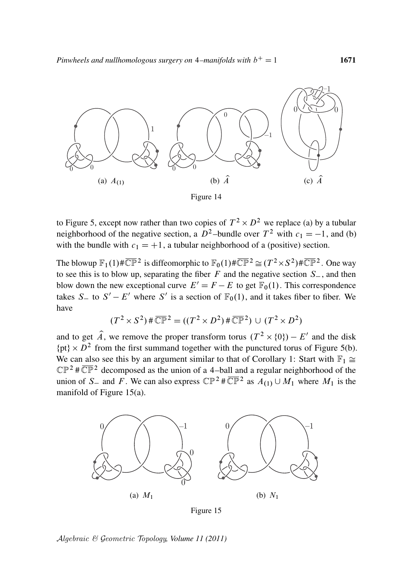

Figure 14

to Figure 5, except now rather than two copies of  $T^2 \times D^2$  we replace (a) by a tubular neighborhood of the negative section, a  $D^2$ -bundle over  $T^2$  with  $c_1 = -1$ , and (b) with the bundle with  $c_1 = +1$ , a tubular neighborhood of a (positive) section.

The blowup  $\mathbb{F}_1(1) \# \overline{\mathbb{CP}}^2$  is diffeomorphic to  $\mathbb{F}_0(1) \# \overline{\mathbb{CP}}^2 \cong (T^2 \times S^2) \# \overline{\mathbb{CP}}^2$ . One way to see this is to blow up, separating the fiber  $F$  and the negative section  $S_$ , and then blow down the new exceptional curve  $E' = F - E$  to get  $\mathbb{F}_0(1)$ . This correspondence takes S to  $S' - E'$  where S' is a section of  $\mathbb{F}_0(1)$ , and it takes fiber to fiber. We have

$$
(T^2 \times S^2) \# \overline{\mathbb{CP}}^2 = ((T^2 \times D^2) \# \overline{\mathbb{CP}}^2) \cup (T^2 \times D^2)
$$

and to get  $\hat{A}$ , we remove the proper transform torus  $(T^2 \times \{0\}) - E'$  and the disk  $\{pt\} \times D^2$  from the first summand together with the punctured torus of Figure 5(b). We can also see this by an argument similar to that of Corollary 1: Start with  $\mathbb{F}_1 \cong$  $\mathbb{CP}^2$  # $\overline{\mathbb{CP}}^2$  decomposed as the union of a 4-ball and a regular neighborhood of the union of S<sub>-</sub> and F. We can also express  $\mathbb{CP}^2 \# \overline{\mathbb{CP}}^2$  as  $A_{(1)} \cup M_1$  where  $M_1$  is the manifold of Figure 15(a).



Figure 15

Algebraic & Geometric Topology*, Volume 11 (2011)*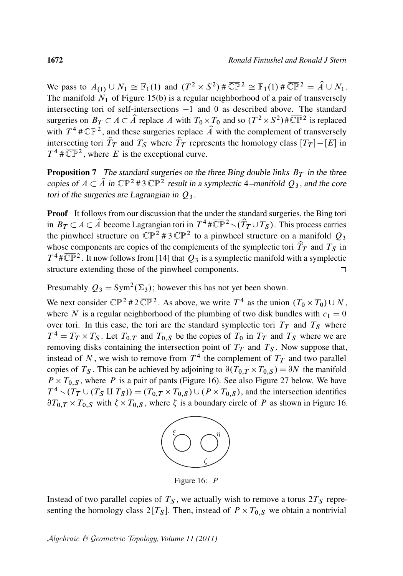We pass to  $A_{(1)} \cup N_1 \cong \mathbb{F}_1(1)$  and  $(T^2 \times S^2) \# \overline{\mathbb{CP}}^2 \cong \mathbb{F}_1(1) \# \overline{\mathbb{CP}}^2 = \hat{A} \cup N_1$ . The manifold  $N_1$  of Figure 15(b) is a regular neighborhood of a pair of transversely intersecting tori of self-intersections  $-1$  and 0 as described above. The standard surgeries on  $B_T \subset A \subset \hat{A}$  replace A with  $T_0 \times T_0$  and so  $(T^2 \times S^2) \# \overline{\mathbb{CP}}^2$  is replaced with  $T^4 \# \overline{\mathbb{CP}}^2$ , and these surgeries replace  $\hat{A}$  with the complement of transversely intersecting tori  $\hat{T}_T$  and  $T_S$  where  $\hat{T}_T$  represents the homology class  $[T_T] - [E]$  in  $T^4 \# \overline{\mathbb{CP}}^2$ , where E is the exceptional curve.

**Proposition 7** The standard surgeries on the three Bing double links  $B_T$  in the three copies of  $A \subset \hat{A}$  in  $\mathbb{CP}^2$  #3  $\overline{\mathbb{CP}^2}$  result in a symplectic 4–manifold  $Q_3$ , and the core tori of the surgeries are Lagrangian in  $Q_3$ .

Proof It follows from our discussion that the under the standard surgeries, the Bing tori in  $B_T \subset A \subset \hat{A}$  become Lagrangian tori in  $T^4 \# \overline{\mathbb{CP}}^2 \setminus (\hat{T}_T \cup T_S)$ . This process carries the pinwheel structure on  $\mathbb{CP}^2$  # 3  $\overline{\mathbb{CP}}^2$  to a pinwheel structure on a manifold  $Q_3$ whose components are copies of the complements of the symplectic tori  $\hat{T}_T$  and  $T_S$  in  $T^4 \# \overline{\mathbb{CP}}^2$ . It now follows from [14] that  $Q_3$  is a symplectic manifold with a symplectic structure extending those of the pinwheel components. П

Presumably  $Q_3 = Sym^2(\Sigma_3)$ ; however this has not yet been shown.

We next consider  $\mathbb{CP}^2$  # 2  $\overline{\mathbb{CP}}^2$ . As above, we write  $T^4$  as the union  $(T_0 \times T_0) \cup N$ , where N is a regular neighborhood of the plumbing of two disk bundles with  $c_1 = 0$ over tori. In this case, the tori are the standard symplectic tori  $T_T$  and  $T_S$  where  $T^4 = T_T \times T_S$ . Let  $T_{0,T}$  and  $T_{0,S}$  be the copies of  $T_0$  in  $T_T$  and  $T_S$  where we are removing disks containing the intersection point of  $T<sub>T</sub>$  and  $T<sub>S</sub>$ . Now suppose that, instead of N, we wish to remove from  $T^4$  the complement of  $T_T$  and two parallel copies of  $T_S$ . This can be achieved by adjoining to  $\partial (T_{0,T} \times T_{0,S}) = \partial N$  the manifold  $P \times T_{0,S}$ , where P is a pair of pants (Figure 16). See also Figure 27 below. We have  $T^4 \setminus (T_T \cup (T_S \amalg T_S)) = (T_{0,T} \times T_{0,S}) \cup (P \times T_{0,S})$ , and the intersection identifies  $\partial T_{0,T} \times T_{0,S}$  with  $\zeta \times T_{0,S}$ , where  $\zeta$  is a boundary circle of P as shown in Figure 16.



Figure 16: P

Instead of two parallel copies of  $T<sub>S</sub>$ , we actually wish to remove a torus  $2T<sub>S</sub>$  representing the homology class  $2[T<sub>S</sub>]$ . Then, instead of  $P \times T_{0,S}$  we obtain a nontrivial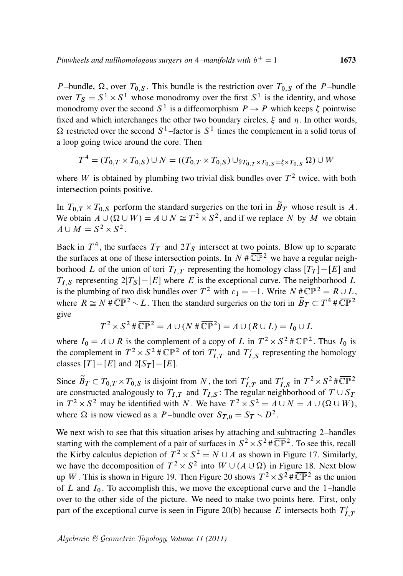P-bundle,  $\Omega$ , over  $T_{0,S}$ . This bundle is the restriction over  $T_{0,S}$  of the P-bundle over  $T_S = S^1 \times S^1$  whose monodromy over the first  $S^1$  is the identity, and whose monodromy over the second  $S^1$  is a diffeomorphism  $P \to P$  which keeps  $\zeta$  pointwise fixed and which interchanges the other two boundary circles,  $\xi$  and  $\eta$ . In other words,  $\Omega$  restricted over the second  $S^1$ -factor is  $S^1$  times the complement in a solid torus of a loop going twice around the core. Then

$$
T^{4} = (T_{0,T} \times T_{0,S}) \cup N = ((T_{0,T} \times T_{0,S}) \cup_{\partial T_{0,T} \times T_{0,S} = \xi \times T_{0,S}} \Omega) \cup W
$$

where W is obtained by plumbing two trivial disk bundles over  $T^2$  twice, with both intersection points positive.

In  $T_{0,T} \times T_{0,S}$  perform the standard surgeries on the tori in  $\tilde{B}_T$  whose result is A. We obtain  $A \cup (\Omega \cup W) = A \cup N \cong T^2 \times S^2$ , and if we replace N by M we obtain  $A \cup M = S^2 \times S^2$ .

Back in  $T^4$ , the surfaces  $T_T$  and  $2T_S$  intersect at two points. Blow up to separate the surfaces at one of these intersection points. In  $N \# \overline{\mathbb{CP}}{}^{2}$  we have a regular neighborhood L of the union of tori  $T_{I,T}$  representing the homology class  $[T_T] - [E]$  and  $T_{LS}$  representing  $2[T_S] - [E]$  where E is the exceptional curve. The neighborhood L is the plumbing of two disk bundles over  $T^2$  with  $c_1 = -1$ . Write  $N \# \overline{\mathbb{CP}}^2 = R \cup L$ , where  $R \cong N \# \overline{\mathbb{CP}}^2 \setminus L$ . Then the standard surgeries on the tori in  $\widetilde{B}_T \subset T^4 \# \overline{\mathbb{CP}}^2$ give

$$
T^2 \times S^2 \# \overline{\mathbb{CP}}^2 = A \cup (N \# \overline{\mathbb{CP}}^2) = A \cup (R \cup L) = I_0 \cup L
$$

where  $I_0 = A \cup R$  is the complement of a copy of L in  $T^2 \times S^2 \# \overline{\mathbb{CP}}^2$ . Thus  $I_0$  is the complement in  $T^2 \times S^2 \# \overline{\mathbb{CP}}{}^{2}$  of tori  $T_I'$  $\overline{I'_I}$  and  $T'_I$  $I'_{I,S}$  representing the homology classes  $[T] - [E]$  and  $2[S_T] - [E]$ .

Since  $\widetilde{B}_T \subset T_{0,T} \times T_{0,S}$  is disjoint from N, the tori  $T'_I$  $T'_{I,T}$  and  $T'_{I}$  $I_{I,S}$  in  $T^2 \times S^2 \# \overline{\mathbb{CP}}{}^{2}$ are constructed analogously to  $T_{I,T}$  and  $T_{I,S}$ : The regular neighborhood of  $T \cup S_T$ in  $T^2 \times S^2$  may be identified with N. We have  $T^2 \times S^2 = A \cup N = A \cup (\Omega \cup W)$ , where  $\Omega$  is now viewed as a P-bundle over  $S_{T,0} = S_T \setminus D^2$ .

We next wish to see that this situation arises by attaching and subtracting 2–handles starting with the complement of a pair of surfaces in  $S^2 \times S^2 \# \overline{\mathbb{CP}}^2$ . To see this, recall the Kirby calculus depiction of  $T^2 \times S^2 = N \cup A$  as shown in Figure 17. Similarly, we have the decomposition of  $T^2 \times S^2$  into  $W \cup (A \cup \Omega)$  in Figure 18. Next blow up W. This is shown in Figure 19. Then Figure 20 shows  $T^2 \times S^2 \# \overline{\mathbb{CP}}{}^2$  as the union of  $L$  and  $I_0$ . To accomplish this, we move the exceptional curve and the 1-handle over to the other side of the picture. We need to make two points here. First, only part of the exceptional curve is seen in Figure 20(b) because E intersects both  $T_I'$  $_{I,T}$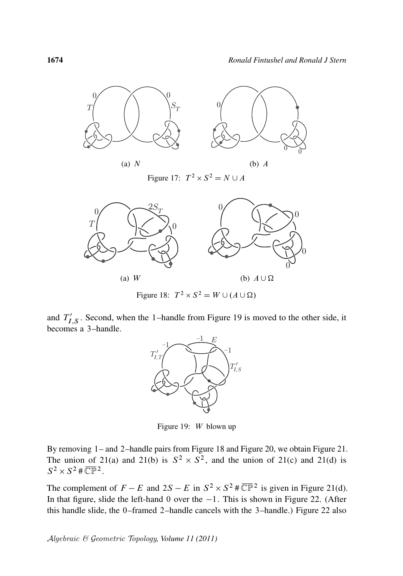$\overline{0}$ 

(b)  $A \cup \Omega$ 



Figure 18:  $T^2 \times S^2 = W \cup (A \cup \Omega)$ 

and  $T_I'$  $I'_{I,S}$ . Second, when the 1-handle from Figure 19 is moved to the other side, it becomes a 3–handle.



Figure 19: W blown up

By removing 1– and 2–handle pairs from Figure 18 and Figure 20, we obtain Figure 21. The union of 21(a) and 21(b) is  $S^2 \times S^2$ , and the union of 21(c) and 21(d) is  $S^2 \times S^2 \# \overline{\mathbb{CP}}{}^2$ .

The complement of  $F - E$  and  $2S - E$  in  $S^2 \times S^2 \# \overline{\mathbb{CP}}{}^{2}$  is given in Figure 21(d). In that figure, slide the left-hand 0 over the  $-1$ . This is shown in Figure 22. (After this handle slide, the 0–framed 2–handle cancels with the 3–handle.) Figure 22 also

(a) W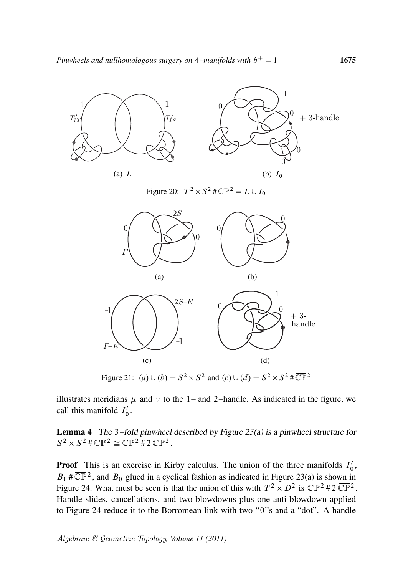

Figure 21:  $(a) \cup (b) = S^2 \times S^2$  and  $(c) \cup (d) = S^2 \times S^2 \# \overline{\mathbb{CP}}^2$ 

illustrates meridians  $\mu$  and  $\nu$  to the 1– and 2–handle. As indicated in the figure, we call this manifold  $I'_0$  $_{0}^{\prime}$  .

Lemma 4 The 3–fold pinwheel described by Figure 23(a) is a pinwheel structure for  $S^2 \times S^2 \# \overline{\mathbb{CP}}{}^2 \cong \mathbb{CP}{}^2 \# 2 \overline{\mathbb{CP}}{}^2$ .

**Proof** This is an exercise in Kirby calculus. The union of the three manifolds  $I_0'$  $_{0}^{\prime},$  $B_1$  #  $\overline{\mathbb{CP}}{}^2$ , and  $B_0$  glued in a cyclical fashion as indicated in Figure 23(a) is shown in Figure 24. What must be seen is that the union of this with  $T^2 \times D^2$  is  $\mathbb{CP}^2 \# 2 \overline{\mathbb{CP}}^2$ . Handle slides, cancellations, and two blowdowns plus one anti-blowdown applied to Figure 24 reduce it to the Borromean link with two "0"s and a "dot". A handle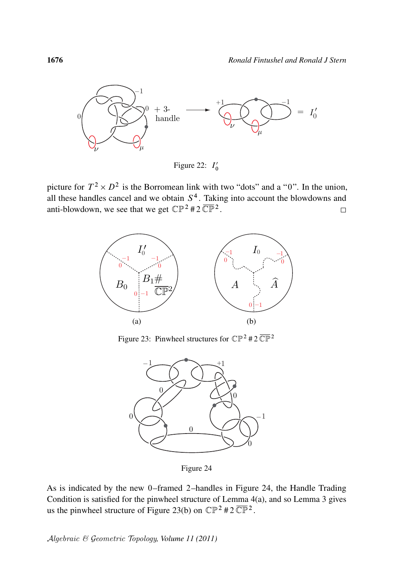

Figure 22:  $I_0'$ 0

picture for  $T^2 \times D^2$  is the Borromean link with two "dots" and a "0". In the union, all these handles cancel and we obtain  $S<sup>4</sup>$ . Taking into account the blowdowns and anti-blowdown, we see that we get  $\mathbb{CP}^2 \# 2 \overline{\mathbb{CP}}^2$ .  $\Box$ 



Figure 23: Pinwheel structures for  $\mathbb{CP}^2$  # 2  $\overline{\mathbb{CP}}^2$ 



Figure 24

As is indicated by the new 0–framed 2–handles in Figure 24, the Handle Trading Condition is satisfied for the pinwheel structure of Lemma 4(a), and so Lemma 3 gives us the pinwheel structure of Figure 23(b) on  $\mathbb{CP}^2$  #2 $\overline{\mathbb{CP}}^2$ .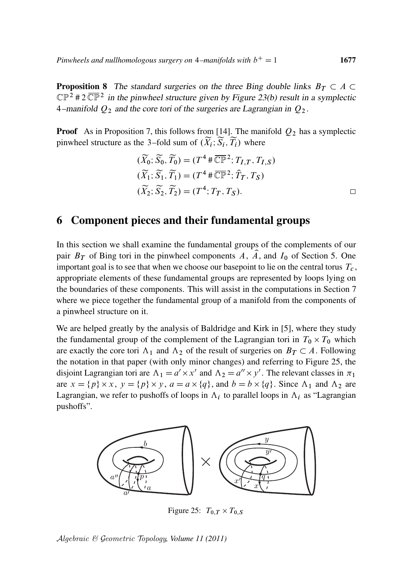**Proposition 8** The standard surgeries on the three Bing double links  $B_T \subset A$  $\mathbb{CP}^2$  # 2  $\overline{\mathbb{CP}}^2$  in the pinwheel structure given by Figure 23(b) result in a symplectic 4–manifold  $Q_2$  and the core tori of the surgeries are Lagrangian in  $Q_2$ .

**Proof** As in Proposition 7, this follows from [14]. The manifold  $Q_2$  has a symplectic pinwheel structure as the 3–fold sum of  $(\widetilde{X}_i; \widetilde{S}_i, \widetilde{T}_i)$  where

$$
(\widetilde{X}_0; \widetilde{S}_0, \widetilde{T}_0) = (T^4 \# \overline{\mathbb{CP}}^2; T_{I,T}, T_{I,S})
$$
  

$$
(\widetilde{X}_1; \widetilde{S}_1, \widetilde{T}_1) = (T^4 \# \overline{\mathbb{CP}}^2; \widehat{T}_T, T_S)
$$
  

$$
(\widetilde{X}_2; \widetilde{S}_2, \widetilde{T}_2) = (T^4; T_T, T_S).
$$

# 6 Component pieces and their fundamental groups

In this section we shall examine the fundamental groups of the complements of our pair  $B_T$  of Bing tori in the pinwheel components A,  $\hat{A}$ , and  $I_0$  of Section 5. One important goal is to see that when we choose our basepoint to lie on the central torus  $T_c$ , appropriate elements of these fundamental groups are represented by loops lying on the boundaries of these components. This will assist in the computations in Section 7 where we piece together the fundamental group of a manifold from the components of a pinwheel structure on it.

We are helped greatly by the analysis of Baldridge and Kirk in [5], where they study the fundamental group of the complement of the Lagrangian tori in  $T_0 \times T_0$  which are exactly the core tori  $\Lambda_1$  and  $\Lambda_2$  of the result of surgeries on  $B_T \subset A$ . Following the notation in that paper (with only minor changes) and referring to Figure 25, the disjoint Lagrangian tori are  $\Lambda_1 = a' \times x'$  and  $\Lambda_2 = a'' \times y'$ . The relevant classes in  $\pi_1$ are  $x = \{p\} \times x$ ,  $y = \{p\} \times y$ ,  $a = a \times \{q\}$ , and  $b = b \times \{q\}$ . Since  $\Lambda_1$  and  $\Lambda_2$  are Lagrangian, we refer to pushoffs of loops in  $\Lambda_i$  to parallel loops in  $\Lambda_i$  as "Lagrangian pushoffs".



Figure 25:  $T_{0,T} \times T_{0,S}$ 

Algebraic & Geometric Topology*, Volume 11 (2011)*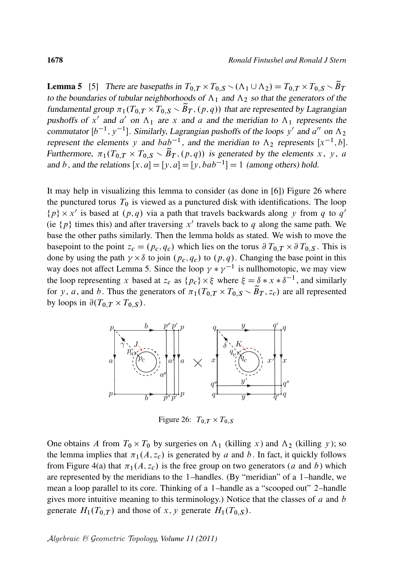**Lemma 5** [5] There are basepaths in  $T_{0,T} \times T_{0,S} \sim (\Lambda_1 \cup \Lambda_2) = T_{0,T} \times T_{0,S} \sim \widetilde{B}_T$ to the boundaries of tubular neighborhoods of  $\Lambda_1$  and  $\Lambda_2$  so that the generators of the fundamental group  $\pi_1(T_{0,T} \times T_{0,S} \setminus \tilde{B}_T, (p,q))$  that are represented by Lagrangian pushoffs of x' and a' on  $\Lambda_1$  are x and a and the meridian to  $\Lambda_1$  represents the commutator  $[b^{-1}, y^{-1}]$ . Similarly, Lagrangian pushoffs of the loops y' and a'' on  $\Lambda_2$ represent the elements y and  $bab^{-1}$ , and the meridian to  $\Lambda_2$  represents  $[x^{-1}, b]$ . Furthermore,  $\pi_1(T_{0,T} \times T_{0,S} \setminus \tilde{B}_T, (p,q))$  is generated by the elements x, y, a and b, and the relations  $[x, a] = [y, a] = [y, bab^{-1}] = 1$  (among others) hold.

It may help in visualizing this lemma to consider (as done in [6]) Figure 26 where the punctured torus  $T_0$  is viewed as a punctured disk with identifications. The loop  $\{p\} \times x'$  is based at  $(p,q)$  via a path that travels backwards along y from q to  $q'$ (ie  $\{p\}$  times this) and after traversing x' travels back to q along the same path. We base the other paths similarly. Then the lemma holds as stated. We wish to move the basepoint to the point  $z_c = (p_c, q_c)$  which lies on the torus  $\partial T_{0,T} \times \partial T_{0,S}$ . This is done by using the path  $\gamma \times \delta$  to join  $(p_c, q_c)$  to  $(p, q)$ . Changing the base point in this way does not affect Lemma 5. Since the loop  $\gamma * \gamma^{-1}$  is nullhomotopic, we may view the loop representing x based at  $z_c$  as  $\{p_c\} \times \xi$  where  $\xi = \delta * x * \delta^{-1}$ , and similarly for y, a, and b. Thus the generators of  $\pi_1(T_{0,T} \times T_{0,S} \setminus \widetilde{B}_T, z_c)$  are all represented by loops in  $\partial(T_{0,T} \times T_{0,S})$ .



Figure 26:  $T_{0,T} \times T_{0,S}$ 

One obtains A from  $T_0 \times T_0$  by surgeries on  $\Lambda_1$  (killing x) and  $\Lambda_2$  (killing y); so the lemma implies that  $\pi_1(A, z_c)$  is generated by a and b. In fact, it quickly follows from Figure 4(a) that  $\pi_1(A, z_c)$  is the free group on two generators (a and b) which are represented by the meridians to the 1–handles. (By "meridian" of a 1–handle, we mean a loop parallel to its core. Thinking of a 1–handle as a "scooped out" 2–handle gives more intuitive meaning to this terminology.) Notice that the classes of  $a$  and  $b$ generate  $H_1(T_{0,T})$  and those of x, y generate  $H_1(T_{0,S})$ .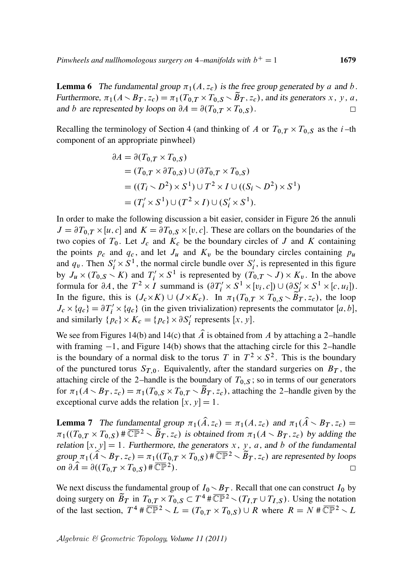**Lemma 6** The fundamental group  $\pi_1(A, z_c)$  is the free group generated by a and b. Furthermore,  $\pi_1(A \setminus B_T, z_c) = \pi_1(T_{0,T} \times T_{0,S} \setminus \tilde{B}_T, z_c)$ , and its generators x, y, a, and b are represented by loops on  $\partial A = \partial (T_{0,T} \times T_{0,S})$ .  $\Box$ 

Recalling the terminology of Section 4 (and thinking of A or  $T_{0,T} \times T_{0,S}$  as the *i*-th component of an appropriate pinwheel)

$$
\partial A = \partial (T_{0,T} \times T_{0,S})
$$
  
=  $(T_{0,T} \times \partial T_{0,S}) \cup (\partial T_{0,T} \times T_{0,S})$   
=  $((T_i \times D^2) \times S^1) \cup T^2 \times I \cup ((S_i \times D^2) \times S^1)$   
=  $(T'_i \times S^1) \cup (T^2 \times I) \cup (S'_i \times S^1)$ .

In order to make the following discussion a bit easier, consider in Figure 26 the annuli  $J = \partial T_{0,T} \times [u, c]$  and  $K = \partial T_{0,S} \times [v, c]$ . These are collars on the boundaries of the two copies of  $T_0$ . Let  $J_c$  and  $K_c$  be the boundary circles of  $J$  and  $K$  containing the points  $p_c$  and  $q_c$ , and let  $J_u$  and  $K_v$  be the boundary circles containing  $p_u$ and  $q_v$ . Then  $S_i' \times S^1$ , the normal circle bundle over  $S_i'$  $i'$ , is represented in this figure by  $J_u \times (T_{0,S} \setminus K)$  and  $T'_i \times S^1$  is represented by  $(T_{0,T} \setminus J) \times K_v$ . In the above formula for  $\partial A$ , the  $T^2 \times I$  summand is  $(\partial T'_i \times S^1 \times [v_i, c]) \cup (\partial S'_i \times S^1 \times [c, u_i]).$ In the figure, this is  $(J_c \times K) \cup (J \times K_c)$ . In  $\pi_1(T_{0,T} \times T_{0,S} \setminus \tilde{B}_T, z_c)$ , the loop  $J_c \times \{q_c\} = \partial T'_i \times \{q_c\}$  (in the given trivialization) represents the commutator [a, b], and similarly  $\{p_c\} \times K_c = \{p_c\} \times \partial S_i'$  $i'$  represents  $[x, y]$ .

We see from Figures 14(b) and 14(c) that  $\hat{A}$  is obtained from A by attaching a 2-handle with framing  $-1$ , and Figure 14(b) shows that the attaching circle for this 2–handle is the boundary of a normal disk to the torus T in  $T^2 \times S^2$ . This is the boundary of the punctured torus  $S_{T,0}$ . Equivalently, after the standard surgeries on  $B_T$ , the attaching circle of the 2–handle is the boundary of  $T_{0,S}$ ; so in terms of our generators for  $\pi_1(A \setminus B_T, z_c) = \pi_1(T_{0,S} \times T_{0,T} \setminus \tilde{B}_T, z_c)$ , attaching the 2-handle given by the exceptional curve adds the relation  $[x, y] = 1$ .

**Lemma 7** The fundamental group  $\pi_1(\hat{A}, z_c) = \pi_1(A, z_c)$  and  $\pi_1(\hat{A} \setminus B_T, z_c) =$  $\pi_1((T_{0,T} \times T_{0,S}) \# \overline{\mathbb{CP}}^2 \setminus \overline{B}_T, z_c)$  is obtained from  $\pi_1(A \setminus B_T, z_c)$  by adding the relation  $[x, y] = 1$ . Furthermore, the generators x, y, a, and b of the fundamental group  $\pi_1(\hat{A} \setminus B_T, z_c) = \pi_1((T_{0,T} \times T_{0,S}) \sharp \overline{\mathbb{CP}}^2 \setminus \overline{\tilde{B}_T}, z_c)$  are represented by loops on  $\partial \widehat{A} = \partial ((T_{0,T} \times T_{0,S}) \# \overline{\mathbb{CP}}{}^{2}).$ П

We next discuss the fundamental group of  $I_0 \setminus B_T$ . Recall that one can construct  $I_0$  by doing surgery on  $\widetilde{B}_T$  in  $T_{0,T} \times T_{0,S} \subset T^4 \# \overline{\mathbb{CP}}^2 \setminus (T_{I,T} \cup T_{I,S})$ . Using the notation of the last section,  $T^4 \# \overline{\mathbb{CP}}^2 \setminus L = (T_{0,T} \times T_{0,S}) \cup R$  where  $R = N \# \overline{\mathbb{CP}}^2 \setminus L$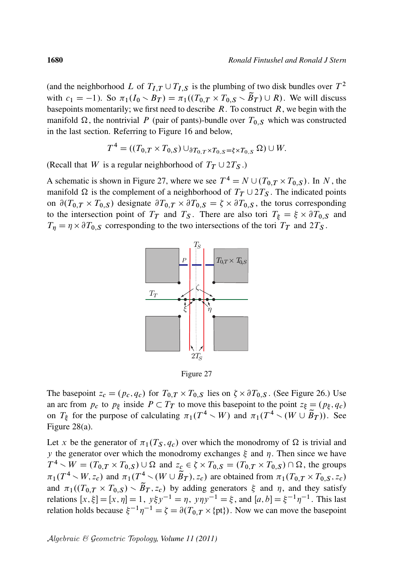(and the neighborhood L of  $T_{I,T} \cup T_{I,S}$  is the plumbing of two disk bundles over  $T^2$ with  $c_1 = -1$ ). So  $\pi_1(I_0 \setminus B_T) = \pi_1((T_{0,T} \times T_{0,S} \setminus \widetilde{B}_T) \cup R)$ . We will discuss basepoints momentarily; we first need to describe  $R$ . To construct  $R$ , we begin with the manifold  $\Omega$ , the nontrivial P (pair of pants)-bundle over  $T_{0,S}$  which was constructed in the last section. Referring to Figure 16 and below,

$$
T^4 = ((T_{0,T} \times T_{0,S}) \cup_{\partial T_{0,T} \times T_{0,S} = \xi \times T_{0,S}} \Omega) \cup W.
$$

(Recall that W is a regular neighborhood of  $T<sub>T</sub> \cup 2T<sub>S</sub>$ .)

A schematic is shown in Figure 27, where we see  $T^4 = N \cup (T_{0,T} \times T_{0,S})$ . In N, the manifold  $\Omega$  is the complement of a neighborhood of  $T<sub>T</sub> \cup 2T<sub>S</sub>$ . The indicated points on  $\partial(T_{0,T} \times T_{0,S})$  designate  $\partial T_{0,T} \times \partial T_{0,S} = \zeta \times \partial T_{0,S}$ , the torus corresponding to the intersection point of  $T_T$  and  $T_S$ . There are also tori  $T_{\xi} = \xi \times \partial T_{0,S}$  and  $T_{\eta} = \eta \times \partial T_{0,S}$  corresponding to the two intersections of the tori  $T_T$  and  $2T_S$ .



Figure 27

The basepoint  $z_c = (p_c, q_c)$  for  $T_{0,T} \times T_{0,S}$  lies on  $\zeta \times \partial T_{0,S}$ . (See Figure 26.) Use an arc from  $p_c$  to  $p_\xi$  inside  $P \subset T_T$  to move this basepoint to the point  $z_\xi = (p_\xi, q_c)$ on  $T_{\xi}$  for the purpose of calculating  $\pi_1(T^4 \setminus W)$  and  $\pi_1(T^4 \setminus (W \cup \widetilde{B}_T))$ . See Figure 28(a).

Let x be the generator of  $\pi_1(T_S, q_c)$  over which the monodromy of  $\Omega$  is trivial and y the generator over which the monodromy exchanges  $\xi$  and  $\eta$ . Then since we have  $T^4 \setminus W = (T_{0,T} \times T_{0,S}) \cup \Omega$  and  $z_c \in \zeta \times T_{0,S} = (T_{0,T} \times T_{0,S}) \cap \Omega$ , the groups  $\pi_1(T^4 \setminus W, z_c)$  and  $\pi_1(T^4 \setminus (W \cup \tilde{B}_T), z_c)$  are obtained from  $\pi_1(T_{0,T} \times T_{0,S}, z_c)$ and  $\pi_1((T_{0,T} \times T_{0,S}) \setminus \widetilde{B}_T, z_c)$  by adding generators  $\xi$  and  $\eta$ , and they satisfy relations  $[x, \xi] = [x, \eta] = 1$ ,  $y\xi y^{-1} = \eta$ ,  $y\eta y^{-1} = \xi$ , and  $[a, b] = \xi^{-1} \eta^{-1}$ . This last relation holds because  $\xi^{-1}\eta^{-1} = \zeta = \partial(T_{0,T} \times {\text{pt}})$ . Now we can move the basepoint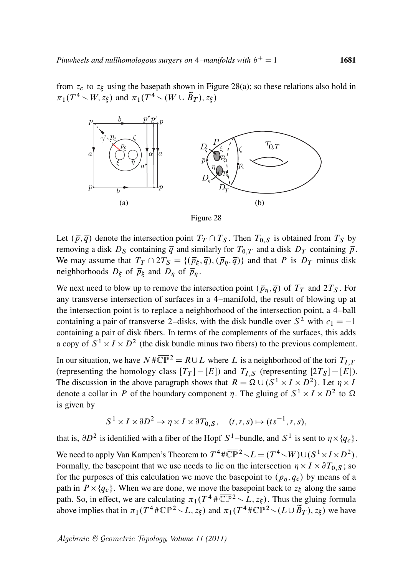from  $z_c$  to  $z_{\xi}$  using the basepath shown in Figure 28(a); so these relations also hold in  $\pi_1(T^4 \setminus W, z_\xi)$  and  $\pi_1(T^4 \setminus (W \cup \widetilde{B}_T), z_\xi)$ 



Figure 28

Let  $(\bar{p}, \bar{q})$  denote the intersection point  $T_T \cap T_S$ . Then  $T_{0,S}$  is obtained from  $T_S$  by removing a disk  $D_S$  containing  $\overline{q}$  and similarly for  $T_{0,T}$  and a disk  $D_T$  containing  $\overline{p}$ . We may assume that  $T_T \cap 2T_S = \{(\bar{p}_{\xi}, \bar{q}), (\bar{p}_{\eta}, \bar{q})\}$  and that P is  $D_T$  minus disk neighborhoods  $D_{\xi}$  of  $\overline{p}_{\xi}$  and  $D_{\eta}$  of  $\overline{p}_{\eta}$ .

We next need to blow up to remove the intersection point  $(\bar{p}_\eta, \bar{q})$  of  $T_T$  and  $2T_S$ . For any transverse intersection of surfaces in a 4–manifold, the result of blowing up at the intersection point is to replace a neighborhood of the intersection point, a 4–ball containing a pair of transverse 2–disks, with the disk bundle over  $S^2$  with  $c_1 = -1$ containing a pair of disk fibers. In terms of the complements of the surfaces, this adds a copy of  $S^1 \times I \times D^2$  (the disk bundle minus two fibers) to the previous complement.

In our situation, we have  $N \# \overline{\mathbb{CP}}^2 = R \cup L$  where L is a neighborhood of the tori  $T_{I,T}$ (representing the homology class  $[T_T] - [E]$ ) and  $T_{I,S}$  (representing  $[2T_S] - [E]$ ). The discussion in the above paragraph shows that  $R = \Omega \cup (S^1 \times I \times D^2)$ . Let  $\eta \times I$ denote a collar in P of the boundary component  $\eta$ . The gluing of  $S^1 \times I \times D^2$  to  $\Omega$ is given by

$$
S^1 \times I \times \partial D^2 \to \eta \times I \times \partial T_{0,S}, \quad (t, r, s) \mapsto (ts^{-1}, r, s),
$$

that is,  $\partial D^2$  is identified with a fiber of the Hopf  $S^1$ -bundle, and  $S^1$  is sent to  $\eta \times \{q_c\}$ . We need to apply Van Kampen's Theorem to  $T^4 \# \overline{\mathbb{CP}}^2 \setminus L = (T^4 \setminus W) \cup (S^1 \times I \times D^2)$ . Formally, the basepoint that we use needs to lie on the intersection  $\eta \times I \times \partial T_{0,S}$ ; so for the purposes of this calculation we move the basepoint to  $(p_n, q_c)$  by means of a path in  $P \times \{q_c\}$ . When we are done, we move the basepoint back to  $z_{\xi}$  along the same path. So, in effect, we are calculating  $\pi_1(T^4 \# \overline{\mathbb{CP}}^2 \setminus L, z_{\xi})$ . Thus the gluing formula above implies that in  $\pi_1(T^4 \# \overline{\mathbb{CP}}^2 \setminus L, z_\xi)$  and  $\pi_1(T^4 \# \overline{\mathbb{CP}}^2 \setminus (L \cup \overline{\mathbf{B}}_T), z_\xi)$  we have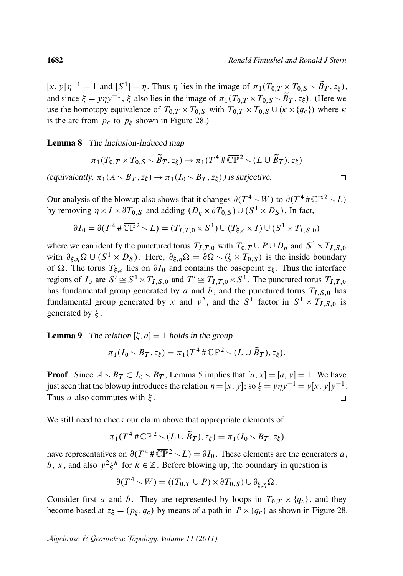$\Box$ 

[x, y]  $\eta^{-1} = 1$  and  $[S^1] = \eta$ . Thus  $\eta$  lies in the image of  $\pi_1(T_{0,T} \times T_{0,S} \setminus \widetilde{B}_T, z_{\xi})$ , and since  $\xi = y \eta y^{-1}$ ,  $\xi$  also lies in the image of  $\pi_1(T_{0,T} \times T_{0,S} \setminus \widetilde{B}_T, z_{\xi})$ . (Here we use the homotopy equivalence of  $T_{0,T} \times T_{0,S}$  with  $T_{0,T} \times T_{0,S} \cup (\kappa \times \{q_c\})$  where  $\kappa$ is the arc from  $p_c$  to  $p_\xi$  shown in Figure 28.)

Lemma 8 The inclusion-induced map

$$
\pi_1(T_{0,T} \times T_{0,S} \setminus \widetilde{B}_T, z_{\xi}) \to \pi_1(T^4 \# \overline{\mathbb{CP}}^2 \setminus (L \cup \widetilde{B}_T), z_{\xi})
$$

(equivalently,  $\pi_1(A \setminus B_T, z_{\xi}) \to \pi_1(I_0 \setminus B_T, z_{\xi})$ ) is surjective.

Our analysis of the blowup also shows that it changes  $\partial(T^4 \setminus W)$  to  $\partial(T^4 \# \overline{\mathbb{CP}}^2 \setminus L)$ by removing  $\eta \times I \times \partial T_{0,S}$  and adding  $(D_{\eta} \times \partial T_{0,S}) \cup (S^1 \times D_S)$ . In fact,

$$
\partial I_0 = \partial (T^4 \# \overline{\mathbb{CP}}^2 \setminus L) = (T_{I,T,0} \times S^1) \cup (T_{\xi,c} \times I) \cup (S^1 \times T_{I,S,0})
$$

where we can identify the punctured torus  $T_{I,T,0}$  with  $T_{0,T} \cup P \cup D_{\eta}$  and  $S^1 \times T_{I,S,0}$ with  $\partial_{\xi,\eta}\Omega \cup (S^1 \times D_S)$ . Here,  $\partial_{\xi,\eta}\Omega = \partial\Omega \setminus (\zeta \times T_{0,S})$  is the inside boundary of  $\Omega$ . The torus  $T_{\xi,c}$  lies on  $\partial I_0$  and contains the basepoint  $z_{\xi}$ . Thus the interface regions of  $I_0$  are  $S' \cong S^1 \times T_{I,S,0}$  and  $T' \cong T_{I,T,0} \times S^1$ . The punctured torus  $T_{I,T,0}$ has fundamental group generated by a and b, and the punctured torus  $T_{I,S,0}$  has fundamental group generated by x and  $y^2$ , and the  $S^1$  factor in  $S^1 \times T_{I,S,0}$  is generated by  $\xi$ .

**Lemma 9** The relation  $[\xi, a] = 1$  holds in the group

$$
\pi_1(I_0 \setminus B_T, z_{\xi}) = \pi_1(T^4 \# \overline{\mathbb{CP}}^2 \setminus (L \cup \widetilde{B}_T), z_{\xi}).
$$

**Proof** Since  $A \setminus B_T \subset I_0 \setminus B_T$ , Lemma 5 implies that  $[a, x] = [a, y] = 1$ . We have just seen that the blowup introduces the relation  $\eta = [x, y]$ ; so  $\xi = y\eta y^{-1} = y[x, y]y^{-1}$ . Thus *a* also commutes with  $\xi$ .  $\Box$ 

We still need to check our claim above that appropriate elements of

$$
\pi_1(T^4 \# \overline{\mathbb{CP}}^2 \setminus (L \cup \widetilde{B}_T), z_{\xi}) = \pi_1(I_0 \setminus B_T, z_{\xi})
$$

have representatives on  $\partial(T^4 \# \overline{\mathbb{CP}}^2 \setminus L) = \partial I_0$ . These elements are the generators a, b, x, and also  $y^2 \xi^k$  for  $k \in \mathbb{Z}$ . Before blowing up, the boundary in question is

$$
\partial(T^4 \setminus W) = ((T_{0,T} \cup P) \times \partial T_{0,S}) \cup \partial_{\xi,\eta} \Omega.
$$

Consider first a and b. They are represented by loops in  $T_{0,T} \times \{q_c\}$ , and they become based at  $z_{\xi} = (p_{\xi}, q_c)$  by means of a path in  $P \times \{q_c\}$  as shown in Figure 28.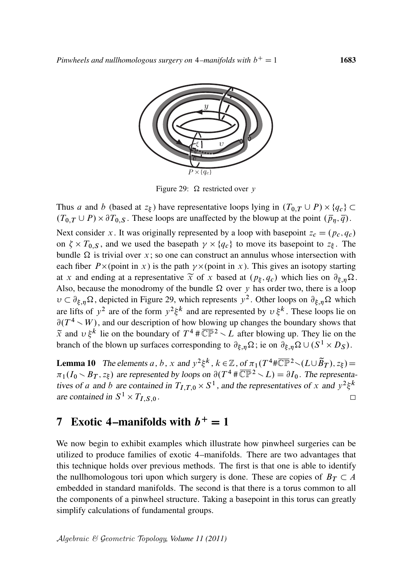

Figure 29:  $\Omega$  restricted over y

Thus a and b (based at  $z_{\xi}$ ) have representative loops lying in  $(T_{0,T} \cup P) \times \{q_c\} \subset$  $(T_{0,T} \cup P) \times \partial T_{0,S}$ . These loops are unaffected by the blowup at the point  $(\bar{p}_{\eta}, \bar{q})$ . Next consider x. It was originally represented by a loop with basepoint  $z_c = (p_c, q_c)$ on  $\zeta \times T_{0,S}$ , and we used the basepath  $\gamma \times \{q_c\}$  to move its basepoint to  $z_{\xi}$ . The bundle  $\Omega$  is trivial over x; so one can construct an annulus whose intersection with each fiber  $P \times$  (point in x) is the path  $\gamma \times$  (point in x). This gives an isotopy starting at x and ending at a representative  $\widetilde{x}$  of x based at  $(p_{\xi}, q_c)$  which lies on  $\partial_{\xi, \eta} \Omega$ . Also, because the monodromy of the bundle  $\Omega$  over y has order two, there is a loop  $v \,\subset \partial_{\xi,\eta}\Omega$ , depicted in Figure 29, which represents  $y^2$ . Other loops on  $\partial_{\xi,\eta}\Omega$  which are lifts of  $y^2$  are of the form  $y^2 \xi^k$  and are represented by  $v \xi^k$ . These loops lie on  $\partial(T^4 \setminus W)$ , and our description of how blowing up changes the boundary shows that  $\tilde{x}$  and  $v \xi^k$  lie on the boundary of  $T^4 \# \overline{\mathbb{CP}}^2 \setminus L$  after blowing up. They lie on the branch of the blown up surfaces corresponding to  $\partial_{\xi,\eta}\Omega$ ; ie on  $\partial_{\xi,\eta}\Omega \cup (S^1 \times D_S)$ .

**Lemma 10** The elements a, b, x and  $y^2 \xi^k$ ,  $k \in \mathbb{Z}$ , of  $\pi_1(T^4 \ast \overline{\mathbb{CP}}^2 \setminus (L \cup \overline{\mathbf{B}}_T), z_{\xi}) =$  $\pi_1(I_0 \setminus B_T, z_{\xi})$  are represented by loops on  $\partial(T^4 \# \overline{\mathbb{CP}}^2 \setminus L) = \partial I_0$ . The representatives of a and b are contained in  $T_{I,T,0} \times S^1$ , and the representatives of x and  $y^2 \xi^k$ are contained in  $S^1 \times T_{I,S,0}$ .  $\Box$ 

# 7 Exotic 4–manifolds with  $b^+=1$

We now begin to exhibit examples which illustrate how pinwheel surgeries can be utilized to produce families of exotic 4–manifolds. There are two advantages that this technique holds over previous methods. The first is that one is able to identify the nullhomologous tori upon which surgery is done. These are copies of  $B_T \subset A$ embedded in standard manifolds. The second is that there is a torus common to all the components of a pinwheel structure. Taking a basepoint in this torus can greatly simplify calculations of fundamental groups.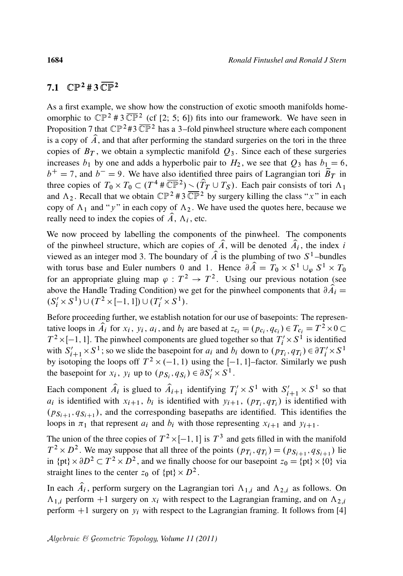#### 7.1  $\mathbb{CP}^{2}$  # 3  $\overline{\mathbb{CP}}^{2}$

As a first example, we show how the construction of exotic smooth manifolds homeomorphic to  $\mathbb{CP}^2 \# 3 \overline{\mathbb{CP}}^2$  (cf [2; 5; 6]) fits into our framework. We have seen in Proposition 7 that  $\mathbb{CP}^2$  #3  $\overline{\mathbb{CP}}^2$  has a 3-fold pinwheel structure where each component is a copy of  $\hat{A}$ , and that after performing the standard surgeries on the tori in the three copies of  $B_T$ , we obtain a symplectic manifold  $Q_3$ . Since each of these surgeries increases  $b_1$  by one and adds a hyperbolic pair to  $H_2$ , we see that  $Q_3$  has  $b_1 = 6$ ,  $b^+ = 7$ , and  $b^- = 9$ . We have also identified three pairs of Lagrangian tori  $\tilde{B}_T$  in three copies of  $T_0 \times T_0 \subset (T^4 \# \overline{\mathbb{CP}}{}^2) \setminus (\hat{T}_T \cup T_S)$ . Each pair consists of tori  $\Lambda_1$ and  $\Lambda_2$ . Recall that we obtain  $\mathbb{CP}^2$  # 3  $\overline{\mathbb{CP}}^2$  by surgery killing the class "x" in each copy of  $\Lambda_1$  and "y" in each copy of  $\Lambda_2$ . We have used the quotes here, because we really need to index the copies of  $\hat{A}$ ,  $\Lambda_i$ , etc.

We now proceed by labelling the components of the pinwheel. The components of the pinwheel structure, which are copies of  $\hat{A}$ , will be denoted  $\hat{A}_i$ , the index i viewed as an integer mod 3. The boundary of  $\hat{A}$  is the plumbing of two  $S^1$ -bundles with torus base and Euler numbers 0 and 1. Hence  $\partial \hat{A} = T_0 \times S^1 \cup_{\varphi} S^1 \times T_0$ for an appropriate gluing map  $\varphi : T^2 \to T^2$ . Using our previous notation (see above the Handle Trading Condition) we get for the pinwheel components that  $\partial \hat{A}_i =$  $(S'_i \times S^1) \cup (T^2 \times [-1, 1]) \cup (T'_i \times S^1).$ 

Before proceeding further, we establish notation for our use of basepoints: The representative loops in  $\hat{A}_i$  for  $x_i$ ,  $y_i$ ,  $a_i$ , and  $b_i$  are based at  $z_{c_i} = (p_{c_i}, q_{c_i}) \in T_{c_i} = T^2 \times 0$  $T^2 \times [-1, 1]$ . The pinwheel components are glued together so that  $T'_i \times S^1$  is identified with  $S'_{i+1} \times S^1$ ; so we slide the basepoint for  $a_i$  and  $b_i$  down to  $(p_{T_i}, q_{T_i}) \in \partial T'_i \times S^1$ by isotoping the loops off  $T^2 \times (-1, 1)$  using the  $[-1, 1]$ -factor. Similarly we push the basepoint for  $x_i$ ,  $y_i$  up to  $(p_{S_i}, q_{S_i}) \in \partial S'_i \times S^1$ .

Each component  $\hat{A}_i$  is glued to  $\hat{A}_{i+1}$  identifying  $T'_i \times S^1$  with  $S'_{i+1} \times S^1$  so that  $a_i$  is identified with  $x_{i+1}$ ,  $b_i$  is identified with  $y_{i+1}$ ,  $(p_{T_i}, q_{T_i})$  is identified with  $(p_{S_{i+1}}, q_{S_{i+1}})$ , and the corresponding basepaths are identified. This identifies the loops in  $\pi_1$  that represent  $a_i$  and  $b_i$  with those representing  $x_{i+1}$  and  $y_{i+1}$ .

The union of the three copies of  $T^2 \times [-1, 1]$  is  $T^3$  and gets filled in with the manifold  $T^2 \times D^2$ . We may suppose that all three of the points  $(p_{T_i}, q_{T_i}) = (p_{S_{i+1}}, q_{S_{i+1}})$  lie in  $\{pt\} \times \partial D^2 \subset T^2 \times D^2$ , and we finally choose for our basepoint  $z_0 = \{pt\} \times \{0\}$  via straight lines to the center  $z_0$  of  $\{pt\} \times D^2$ .

In each  $\hat{A}_i$ , perform surgery on the Lagrangian tori  $\Lambda_{1,i}$  and  $\Lambda_{2,i}$  as follows. On  $\Lambda_{1,i}$  perform +1 surgery on  $x_i$  with respect to the Lagrangian framing, and on  $\Lambda_{2,i}$ perform  $+1$  surgery on  $y_i$  with respect to the Lagrangian framing. It follows from [4]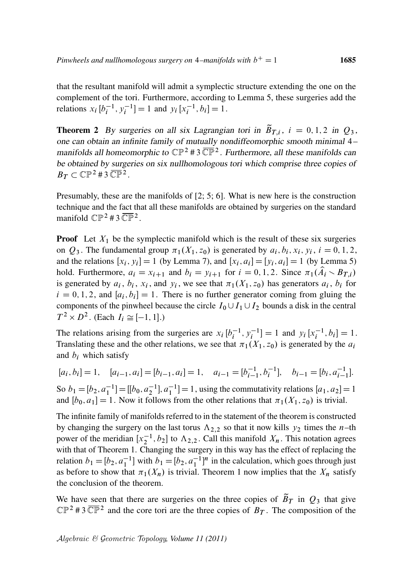that the resultant manifold will admit a symplectic structure extending the one on the complement of the tori. Furthermore, according to Lemma 5, these surgeries add the relations  $x_i [b_i^{-1}, y_i^{-1}] = 1$  and  $y_i [x_i^{-1}, b_i] = 1$ .

**Theorem 2** By surgeries on all six Lagrangian tori in  $\tilde{B}_{T,i}$ ,  $i = 0, 1, 2$  in  $Q_3$ , one can obtain an infinite family of mutually nondiffeomorphic smooth minimal 4– manifolds all homeomorphic to  $\mathbb{CP}^2$  # 3  $\overline{\mathbb{CP}}^2$ . Furthermore, all these manifolds can be obtained by surgeries on six nullhomologous tori which comprise three copies of  $B_T \subset \mathbb{CP}^2$ #3 $\overline{\mathbb{CP}}^2$ .

Presumably, these are the manifolds of [2; 5; 6]. What is new here is the construction technique and the fact that all these manifolds are obtained by surgeries on the standard manifold  $\mathbb{CP}^2$  # 3  $\overline{\mathbb{CP}}^2$ .

**Proof** Let  $X_1$  be the symplectic manifold which is the result of these six surgeries on  $Q_3$ . The fundamental group  $\pi_1(X_1, z_0)$  is generated by  $a_i, b_i, x_i, y_i, i = 0, 1, 2,$ and the relations  $[x_i, y_i] = 1$  (by Lemma 7), and  $[x_i, a_i] = [y_i, a_i] = 1$  (by Lemma 5) hold. Furthermore,  $a_i = x_{i+1}$  and  $b_i = y_{i+1}$  for  $i = 0, 1, 2$ . Since  $\pi_1(\hat{A}_i \setminus B_{T,i})$ is generated by  $a_i$ ,  $b_i$ ,  $x_i$ , and  $y_i$ , we see that  $\pi_1(X_1, z_0)$  has generators  $a_i$ ,  $b_i$  for  $i = 0, 1, 2$ , and  $[a_i, b_i] = 1$ . There is no further generator coming from gluing the components of the pinwheel because the circle  $I_0 \cup I_1 \cup I_2$  bounds a disk in the central  $T^2 \times D^2$ . (Each  $I_i \cong [-1, 1]$ .)

The relations arising from the surgeries are  $x_i$  [ $b_i^{-1}$ ,  $y_i^{-1}$ ] = 1 and  $y_i$  [ $x_i^{-1}$ ,  $b_i$ ] = 1. Translating these and the other relations, we see that  $\pi_1(X_1, z_0)$  is generated by the  $a_i$ and  $b_i$  which satisfy

$$
[a_i, b_i] = 1, \quad [a_{i-1}, a_i] = [b_{i-1}, a_i] = 1, \quad a_{i-1} = [b_{i-1}^{-1}, b_i^{-1}], \quad b_{i-1} = [b_i, a_{i-1}^{-1}].
$$

So  $b_1 = [b_2, a_1^{-1}] = [[b_0, a_2^{-1}], a_1^{-1}] = 1$ , using the commutativity relations  $[a_1, a_2] = 1$ and  $[b_0, a_1] = 1$ . Now it follows from the other relations that  $\pi_1(X_1, z_0)$  is trivial.

The infinite family of manifolds referred to in the statement of the theorem is constructed by changing the surgery on the last torus  $\Lambda_{2,2}$  so that it now kills  $y_2$  times the n–th power of the meridian  $[x_2^{-1}, b_2]$  to  $\Lambda_{2,2}$ . Call this manifold  $X_n$ . This notation agrees with that of Theorem 1. Changing the surgery in this way has the effect of replacing the relation  $b_1 = [b_2, a_1^{-1}]$  with  $b_1 = [b_2, a_1^{-1}]^n$  in the calculation, which goes through just as before to show that  $\pi_1(X_n)$  is trivial. Theorem 1 now implies that the  $X_n$  satisfy the conclusion of the theorem.

We have seen that there are surgeries on the three copies of  $\tilde{B}_T$  in  $Q_3$  that give  $\mathbb{CP}^2$  #3  $\overline{\mathbb{CP}}^2$  and the core tori are the three copies of  $B_T$ . The composition of the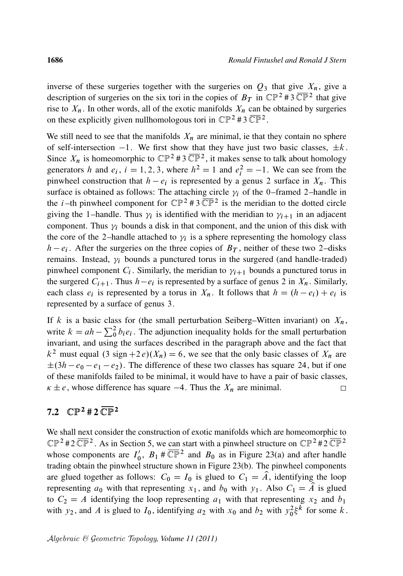inverse of these surgeries together with the surgeries on  $Q_3$  that give  $X_n$ , give a description of surgeries on the six tori in the copies of  $B_T$  in  $\mathbb{CP}^2$  #3  $\overline{\mathbb{CP}}^2$  that give rise to  $X_n$ . In other words, all of the exotic manifolds  $X_n$  can be obtained by surgeries on these explicitly given nullhomologous tori in  $\mathbb{CP}^2 \# 3 \overline{\mathbb{CP}}^2$ .

We still need to see that the manifolds  $X_n$  are minimal, ie that they contain no sphere of self-intersection  $-1$ . We first show that they have just two basic classes,  $\pm k$ . Since  $X_n$  is homeomorphic to  $\mathbb{CP}^2 \# 3 \overline{\mathbb{CP}}^2$ , it makes sense to talk about homology generators h and  $e_i$ ,  $i = 1, 2, 3$ , where  $h^2 = 1$  and  $e_i^2 = -1$ . We can see from the pinwheel construction that  $h - e_i$  is represented by a genus 2 surface in  $X_n$ . This surface is obtained as follows: The attaching circle  $\gamma_i$  of the 0–framed 2–handle in the *i*-th pinwheel component for  $\mathbb{CP}^2$  # 3  $\overline{\mathbb{CP}}^2$  is the meridian to the dotted circle giving the 1-handle. Thus  $\gamma_i$  is identified with the meridian to  $\gamma_{i+1}$  in an adjacent component. Thus  $\gamma_i$  bounds a disk in that component, and the union of this disk with the core of the 2-handle attached to  $\gamma_i$  is a sphere representing the homology class  $h - e_i$ . After the surgeries on the three copies of  $B_T$ , neither of these two 2-disks remains. Instead,  $\gamma_i$  bounds a punctured torus in the surgered (and handle-traded) pinwheel component  $C_i$ . Similarly, the meridian to  $\gamma_{i+1}$  bounds a punctured torus in the surgered  $C_{i+1}$ . Thus  $h-e_i$  is represented by a surface of genus 2 in  $X_n$ . Similarly, each class  $e_i$  is represented by a torus in  $X_n$ . It follows that  $h = (h - e_i) + e_i$  is represented by a surface of genus 3.

If k is a basic class for (the small perturbation Seiberg–Witten invariant) on  $X_n$ , write  $k = ah - \sum_0^2 b_i e_i$ . The adjunction inequality holds for the small perturbation invariant, and using the surfaces described in the paragraph above and the fact that  $k^2$  must equal  $(3 \text{ sign} + 2e)(X_n) = 6$ , we see that the only basic classes of  $X_n$  are  $\pm(3h - e_0 - e_1 - e_2)$ . The difference of these two classes has square 24, but if one of these manifolds failed to be minimal, it would have to have a pair of basic classes,  $\kappa \pm e$ , whose difference has square  $-4$ . Thus the  $X_n$  are minimal.  $\Box$ 

# 7.2  $\mathbb{CP}^2$  #  $2 \overline{\mathbb{CP}}^2$

We shall next consider the construction of exotic manifolds which are homeomorphic to  $\mathbb{CP}^2$ #2 $\overline{\mathbb{CP}}^2$ . As in Section 5, we can start with a pinwheel structure on  $\mathbb{CP}^2$ #2 $\overline{\mathbb{CP}}^2$ whose components are  $I_0'$  $\sqrt{0}$ ,  $B_1$  #  $\overline{\mathbb{CP}}^2$  and  $B_0$  as in Figure 23(a) and after handle trading obtain the pinwheel structure shown in Figure 23(b). The pinwheel components are glued together as follows:  $C_0 = I_0$  is glued to  $C_1 = \hat{A}$ , identifying the loop representing  $a_0$  with that representing  $x_1$ , and  $b_0$  with  $y_1$ . Also  $C_1 = \hat{A}$  is glued to  $C_2 = A$  identifying the loop representing  $a_1$  with that representing  $x_2$  and  $b_1$ with  $y_2$ , and A is glued to  $I_0$ , identifying  $a_2$  with  $x_0$  and  $b_2$  with  $y_0^2 \xi^k$  for some k.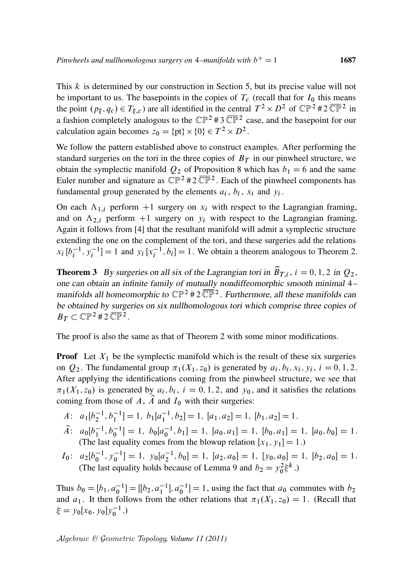This  $k$  is determined by our construction in Section 5, but its precise value will not be important to us. The basepoints in the copies of  $T_c$  (recall that for  $I_0$  this means the point  $(p_{\xi}, q_c) \in T_{\xi,c}$  are all identified in the central  $T^2 \times D^2$  of  $\mathbb{CP}^2 \# 2 \overline{\mathbb{CP}^2}$  in a fashion completely analogous to the  $\mathbb{CP}^2$  #3  $\overline{\mathbb{CP}}^2$  case, and the basepoint for our calculation again becomes  $z_0 = {pt} \times {0} \in T^2 \times D^2$ .

We follow the pattern established above to construct examples. After performing the standard surgeries on the tori in the three copies of  $B<sub>T</sub>$  in our pinwheel structure, we obtain the symplectic manifold  $Q_2$  of Proposition 8 which has  $b_1 = 6$  and the same Euler number and signature as  $\mathbb{CP}^2$  #2 $\overline{\mathbb{CP}}^2$ . Each of the pinwheel components has fundamental group generated by the elements  $a_i$ ,  $b_i$ ,  $x_i$  and  $y_i$ .

On each  $\Lambda_{1,i}$  perform +1 surgery on  $x_i$  with respect to the Lagrangian framing, and on  $\Lambda_{2,i}$  perform +1 surgery on  $y_i$  with respect to the Lagrangian framing. Again it follows from [4] that the resultant manifold will admit a symplectic structure extending the one on the complement of the tori, and these surgeries add the relations  $x_i$   $[b_i^{-1}, y_i^{-1}] = 1$  and  $y_i$   $[x_i^{-1}, b_i] = 1$ . We obtain a theorem analogous to Theorem 2.

**Theorem 3** By surgeries on all six of the Lagrangian tori in  $\tilde{B}_{T,i}$ ,  $i = 0, 1, 2$  in  $Q_2$ , one can obtain an infinite family of mutually nondiffeomorphic smooth minimal 4– manifolds all homeomorphic to  $\mathbb{CP}^2$  # 2  $\overline{\mathbb{CP}}^2$ . Furthermore, all these manifolds can be obtained by surgeries on six nullhomologous tori which comprise three copies of  $B_T \subset \mathbb{CP}^2$ #2 $\overline{\mathbb{CP}}^2$ .

The proof is also the same as that of Theorem 2 with some minor modifications.

**Proof** Let  $X_1$  be the symplectic manifold which is the result of these six surgeries on  $Q_2$ . The fundamental group  $\pi_1(X_1, z_0)$  is generated by  $a_i, b_i, x_i, y_i, i = 0, 1, 2$ . After applying the identifications coming from the pinwheel structure, we see that  $\pi_1(X_1, z_0)$  is generated by  $a_i, b_i, i = 0, 1, 2$ , and  $y_0$ , and it satisfies the relations coming from those of A,  $\hat{A}$  and  $I_0$  with their surgeries:

$$
A: a_1[b_2^{-1}, b_1^{-1}] = 1, b_1[a_1^{-1}, b_2] = 1, [a_1, a_2] = 1, [b_1, a_2] = 1.
$$

- $\hat{A}$ :  $a_0[b_1^{-1}, b_0^{-1}] = 1$ ,  $b_0[a_0^{-1}, b_1] = 1$ ,  $[a_0, a_1] = 1$ ,  $[b_0, a_1] = 1$ ,  $[a_0, b_0] = 1$ . (The last equality comes from the blowup relation  $[x_1, y_1] = 1$ .)
- $I_0: a_2[b_0^{-1}, y_0^{-1}] = 1, y_0[a_2^{-1}, b_0] = 1, [a_2, a_0] = 1, [y_0, a_0] = 1, [b_2, a_0] = 1.$ (The last equality holds because of Lemma 9 and  $b_2 = y_0^2 \xi^k$ .)

Thus  $b_0 = [b_1, a_0^{-1}] = [[b_2, a_1^{-1}], a_0^{-1}] = 1$ , using the fact that  $a_0$  commutes with  $b_2$ and  $a_1$ . It then follows from the other relations that  $\pi_1(X_1, z_0) = 1$ . (Recall that  $\xi = y_0[x_0, y_0]y_0^{-1}.$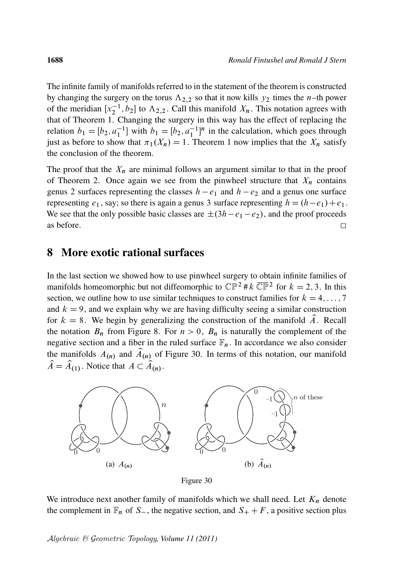The infinite family of manifolds referred to in the statement of the theorem is constructed by changing the surgery on the torus  $\Lambda_{2,2}$  so that it now kills  $y_2$  times the *n*–th power of the meridian  $[x_2^{-1}, b_2]$  to  $\Lambda_{2,2}$ . Call this manifold  $X_n$ . This notation agrees with that of Theorem 1. Changing the surgery in this way has the effect of replacing the relation  $b_1 = [b_2, a_1^{-1}]$  with  $b_1 = [b_2, a_1^{-1}]^n$  in the calculation, which goes through just as before to show that  $\pi_1(X_n) = 1$ . Theorem 1 now implies that the  $X_n$  satisfy the conclusion of the theorem.

The proof that the  $X_n$  are minimal follows an argument similar to that in the proof of Theorem 2. Once again we see from the pinwheel structure that  $X_n$  contains genus 2 surfaces representing the classes  $h - e_1$  and  $h - e_2$  and a genus one surface representing  $e_1$ , say; so there is again a genus 3 surface representing  $h = (h - e_1) + e_1$ . We see that the only possible basic classes are  $\pm(3h-e_1-e_2)$ , and the proof proceeds as before.  $\Box$ 

#### 8 More exotic rational surfaces

In the last section we showed how to use pinwheel surgery to obtain infinite families of manifolds homeomorphic but not diffeomorphic to  $\mathbb{CP}^2 \# k \overline{\mathbb{CP}}^2$  for  $k = 2, 3$ . In this section, we outline how to use similar techniques to construct families for  $k = 4, \ldots, 7$ and  $k = 9$ , and we explain why we are having difficulty seeing a similar construction for  $k = 8$ . We begin by generalizing the construction of the manifold  $\hat{A}$ . Recall the notation  $B_n$  from Figure 8. For  $n > 0$ ,  $B_n$  is naturally the complement of the negative section and a fiber in the ruled surface  $\mathbb{F}_n$ . In accordance we also consider the manifolds  $A_{(n)}$  and  $\hat{A}_{(n)}$  of Figure 30. In terms of this notation, our manifold  $\hat{A} = \hat{A}_{(1)}$ . Notice that  $A \subset \hat{A}_{(n)}$ .



Figure 30

We introduce next another family of manifolds which we shall need. Let  $K_n$  denote the complement in  $\mathbb{F}_n$  of S<sub>-</sub>, the negative section, and  $S_+ + F$ , a positive section plus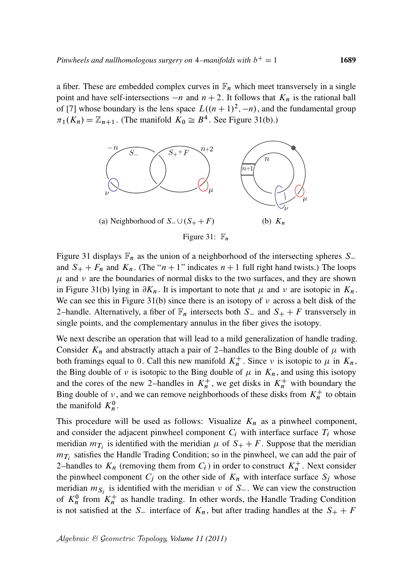a fiber. These are embedded complex curves in  $\mathbb{F}_n$  which meet transversely in a single point and have self-intersections  $-n$  and  $n + 2$ . It follows that  $K_n$  is the rational ball of [7] whose boundary is the lens space  $L((n + 1)^2, -n)$ , and the fundamental group  $\pi_1(K_n) = \mathbb{Z}_{n+1}$ . (The manifold  $K_0 \cong B^4$ . See Figure 31(b).)



Figure 31 displays  $\mathbb{F}_n$  as the union of a neighborhood of the intersecting spheres  $S$ and  $S_+ + F_n$  and  $K_n$ . (The " $n + 1$ " indicates  $n + 1$  full right hand twists.) The loops  $\mu$  and  $\nu$  are the boundaries of normal disks to the two surfaces, and they are shown in Figure 31(b) lying in  $\partial K_n$ . It is important to note that  $\mu$  and  $\nu$  are isotopic in  $K_n$ . We can see this in Figure 31(b) since there is an isotopy of  $\nu$  across a belt disk of the 2–handle. Alternatively, a fiber of  $\mathbb{F}_n$  intersects both S<sub>-</sub> and S<sub>+</sub> + F transversely in single points, and the complementary annulus in the fiber gives the isotopy.

We next describe an operation that will lead to a mild generalization of handle trading. Consider  $K_n$  and abstractly attach a pair of 2–handles to the Bing double of  $\mu$  with both framings equal to 0. Call this new manifold  $K_n^+$ . Since v is isotopic to  $\mu$  in  $K_n$ , the Bing double of  $\nu$  is isotopic to the Bing double of  $\mu$  in  $K_n$ , and using this isotopy and the cores of the new 2-handles in  $K_n^+$ , we get disks in  $K_n^+$  with boundary the Bing double of v, and we can remove neighborhoods of these disks from  $K_n^+$  to obtain the manifold  $K_n^0$ .

This procedure will be used as follows: Visualize  $K_n$  as a pinwheel component, and consider the adjacent pinwheel component  $C_i$  with interface surface  $T_i$  whose meridian  $m_{T_i}$  is identified with the meridian  $\mu$  of  $S_+ + F$ . Suppose that the meridian  $m_{\mathcal{T}_i}$  satisfies the Handle Trading Condition; so in the pinwheel, we can add the pair of 2-handles to  $K_n$  (removing them from  $C_i$ ) in order to construct  $K_n^+$ . Next consider the pinwheel component  $C_j$  on the other side of  $K_n$  with interface surface  $S_j$  whose meridian  $m_{S_j}$  is identified with the meridian  $\nu$  of  $S_{-}$ . We can view the construction of  $K_n^0$  from  $K_n^+$  as handle trading. In other words, the Handle Trading Condition is not satisfied at the S<sub>-</sub> interface of  $K_n$ , but after trading handles at the  $S_+ + F$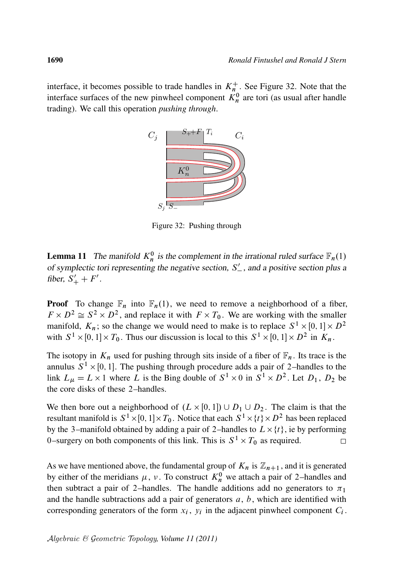interface, it becomes possible to trade handles in  $K_n^+$ . See Figure 32. Note that the interface surfaces of the new pinwheel component  $K_n^0$  are tori (as usual after handle trading). We call this operation *pushing through*.



Figure 32: Pushing through

**Lemma 11** The manifold  $K_n^0$  is the complement in the irrational ruled surface  $\mathbb{F}_n(1)$ of symplectic tori representing the negative section,  $S'_{-}$ , and a positive section plus a fiber,  $S'_{+} + F'$ .

**Proof** To change  $\mathbb{F}_n$  into  $\mathbb{F}_n(1)$ , we need to remove a neighborhood of a fiber,  $F \times D^2 \cong S^2 \times D^2$ , and replace it with  $F \times T_0$ . We are working with the smaller manifold,  $K_n$ ; so the change we would need to make is to replace  $S^1 \times [0,1] \times D^2$ with  $S^1 \times [0, 1] \times T_0$ . Thus our discussion is local to this  $S^1 \times [0, 1] \times D^2$  in  $K_n$ .

The isotopy in  $K_n$  used for pushing through sits inside of a fiber of  $\mathbb{F}_n$ . Its trace is the annulus  $S^1 \times [0, 1]$ . The pushing through procedure adds a pair of 2-handles to the link  $L_{\mu} = L \times 1$  where L is the Bing double of  $S^1 \times 0$  in  $S^1 \times D^2$ . Let  $D_1$ ,  $D_2$  be the core disks of these 2–handles.

We then bore out a neighborhood of  $(L \times [0, 1]) \cup D_1 \cup D_2$ . The claim is that the resultant manifold is  $S^1 \times [0,1] \times T_0$ . Notice that each  $S^1 \times \{t\} \times D^2$  has been replaced by the 3–manifold obtained by adding a pair of 2–handles to  $L \times \{t\}$ , ie by performing 0–surgery on both components of this link. This is  $S^1 \times T_0$  as required.  $\Box$ 

As we have mentioned above, the fundamental group of  $K_n$  is  $\mathbb{Z}_{n+1}$ , and it is generated by either of the meridians  $\mu$ ,  $\nu$ . To construct  $K_n^0$  we attach a pair of 2-handles and then subtract a pair of 2–handles. The handle additions add no generators to  $\pi_1$ and the handle subtractions add a pair of generators  $a, b$ , which are identified with corresponding generators of the form  $x_i$ ,  $y_i$  in the adjacent pinwheel component  $C_i$ .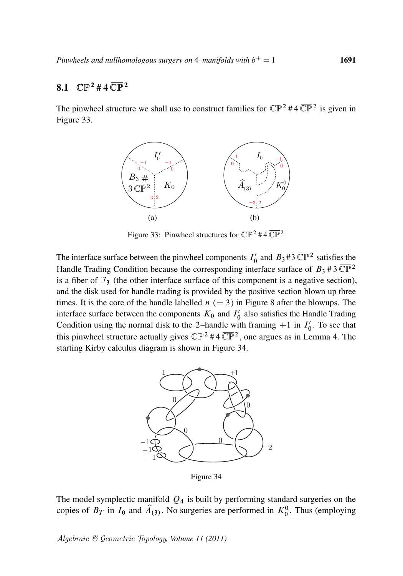# 8.1  $\mathbb{CP}^{2}$  # 4  $\overline{\mathbb{CP}}^{2}$

The pinwheel structure we shall use to construct families for  $\mathbb{CP}^2 \# 4 \overline{\mathbb{CP}}^2$  is given in Figure 33.



Figure 33: Pinwheel structures for  $\mathbb{CP}^2$  #4  $\overline{\mathbb{CP}}^2$ 

The interface surface between the pinwheel components  $I_0$  $\int_0^{\prime}$  and  $B_3$ #3  $\overline{\mathbb{CP}}^2$  satisfies the Handle Trading Condition because the corresponding interface surface of  $B_3 \# 3 \overline{\mathbb{CP}}^2$ is a fiber of  $\mathbb{F}_3$  (the other interface surface of this component is a negative section), and the disk used for handle trading is provided by the positive section blown up three times. It is the core of the handle labelled  $n (= 3)$  in Figure 8 after the blowups. The interface surface between the components  $K_0$  and  $I_0$  $\frac{7}{0}$  also satisfies the Handle Trading Condition using the normal disk to the 2-handle with framing  $+1$  in  $I_0'$  $\frac{7}{0}$ . To see that this pinwheel structure actually gives  $\mathbb{CP}^2 \# 4 \overline{\mathbb{CP}}^2$ , one argues as in Lemma 4. The starting Kirby calculus diagram is shown in Figure 34.



Figure 34

The model symplectic manifold  $Q_4$  is built by performing standard surgeries on the copies of  $B_T$  in  $I_0$  and  $\hat{A}_{(3)}$ . No surgeries are performed in  $K_0^0$ . Thus (employing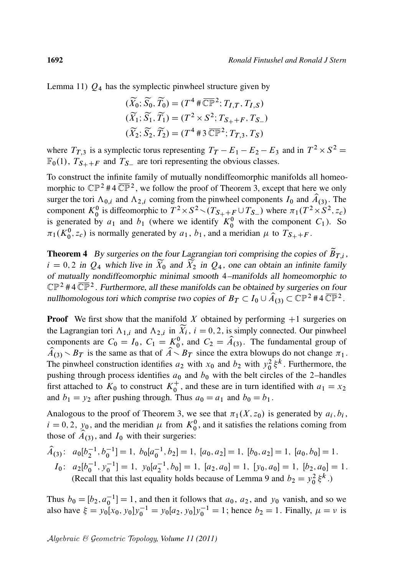Lemma 11)  $Q_4$  has the symplectic pinwheel structure given by

$$
(\widetilde{X}_0; \widetilde{S}_0, \widetilde{T}_0) = (T^4 \# \overline{\mathbb{CP}}^2; T_{I,T}, T_{I,S})
$$
  

$$
(\widetilde{X}_1; \widetilde{S}_1, \widetilde{T}_1) = (T^2 \times S^2; T_{S_+ + F}, T_{S_-})
$$
  

$$
(\widetilde{X}_2; \widetilde{S}_2, \widetilde{T}_2) = (T^4 \# 3 \overline{\mathbb{CP}}^2; T_{T,3}, T_S)
$$

where  $T_{T,3}$  is a symplectic torus representing  $T_T - E_1 - E_2 - E_3$  and in  $T^2 \times S^2 =$  $\mathbb{F}_0(1)$ ,  $T_{S_+ + F}$  and  $T_{S_-}$  are tori representing the obvious classes.

To construct the infinite family of mutually nondiffeomorphic manifolds all homeomorphic to  $\mathbb{CP}^2$  #4  $\overline{\mathbb{CP}}^2$ , we follow the proof of Theorem 3, except that here we only surger the tori  $\Lambda_{0,i}$  and  $\Lambda_{2,i}$  coming from the pinwheel components  $I_0$  and  $\hat{A}_{(3)}$ . The component  $K_0^0$  is diffeomorphic to  $T^2 \times S^2 \setminus (T_{S_+ + \frac{F}{2}} \cup T_{S_-})$  where  $\pi_1(T^2 \times S^2, z_c)$ is generated by  $a_1$  and  $b_1$  (where we identify  $K_0^0$  with the component  $C_1$ ). So  $\pi_1(K_0^0, z_c)$  is normally generated by  $a_1, b_1$ , and a meridian  $\mu$  to  $T_{S_+ + F}$ .

**Theorem 4** By surgeries on the four Lagrangian tori comprising the copies of  $\tilde{B}_{T,i}$ ,  $i = 0, 2$  in  $Q_4$  which live in  $\widetilde{X}_0$  and  $\widetilde{X}_2$  in  $Q_4$ , one can obtain an infinite family of mutually nondiffeomorphic minimal smooth 4–manifolds all homeomorphic to  $\mathbb{CP}^2$  #4  $\overline{\mathbb{CP}}^2$ . Furthermore, all these manifolds can be obtained by surgeries on four nullhomologous tori which comprise two copies of  $B_T \subset I_0 \cup \widehat{A}_{(3)} \subset \widehat{\mathbb{CP}}^2$  #4  $\overline{\mathbb{CP}}^2$ .

**Proof** We first show that the manifold X obtained by performing  $+1$  surgeries on the Lagrangian tori  $\Lambda_{1,i}$  and  $\Lambda_{2,i}$  in  $\widetilde{X}_i$ ,  $i = 0, 2$ , is simply connected. Our pinwheel components are  $C_0 = I_0$ ,  $C_1 = \underset{\sim}{K_0^0}$ , and  $C_2 = \hat{A}_{(3)}$ . The fundamental group of  $\widehat{A}_{(3)} > B_T$  is the same as that of  $\widehat{A} > B_T$  since the extra blowups do not change  $\pi_1$ . The pinwheel construction identifies  $a_2$  with  $x_0$  and  $b_2$  with  $y_0^2 \xi^k$ . Furthermore, the pushing through process identifies  $a_0$  and  $b_0$  with the belt circles of the 2–handles first attached to  $K_0$  to construct  $K_0^+$  $_0^+$ , and these are in turn identified with  $a_1 = x_2$ and  $b_1 = y_2$  after pushing through. Thus  $a_0 = a_1$  and  $b_0 = b_1$ .

Analogous to the proof of Theorem 3, we see that  $\pi_1(X, z_0)$  is generated by  $a_i, b_i$ ,  $i = 0, 2, y_0$ , and the meridian  $\mu$  from  $K_0^0$ , and it satisfies the relations coming from those of  $\widetilde{A}_{(3)}$ , and  $I_0$  with their surgeries:

$$
\hat{A}_{(3)}: a_0[b_2^{-1}, b_0^{-1}] = 1, b_0[a_0^{-1}, b_2] = 1, [a_0, a_2] = 1, [b_0, a_2] = 1, [a_0, b_0] = 1.
$$
  
\n
$$
I_0: a_2[b_0^{-1}, y_0^{-1}] = 1, y_0[a_2^{-1}, b_0] = 1, [a_2, a_0] = 1, [y_0, a_0] = 1, [b_2, a_0] = 1.
$$
  
\n(Recall that this last equality holds because of Lemma 9 and  $b_2 = y_0^2 \xi^k$ .)

Thus  $b_0 = [b_2, a_0^{-1}] = 1$ , and then it follows that  $a_0$ ,  $a_2$ , and  $y_0$  vanish, and so we also have  $\xi = y_0[x_0, y_0]y_0^{-1} = y_0[a_2, y_0]y_0^{-1} = 1$ ; hence  $b_2 = 1$ . Finally,  $\mu = \nu$  is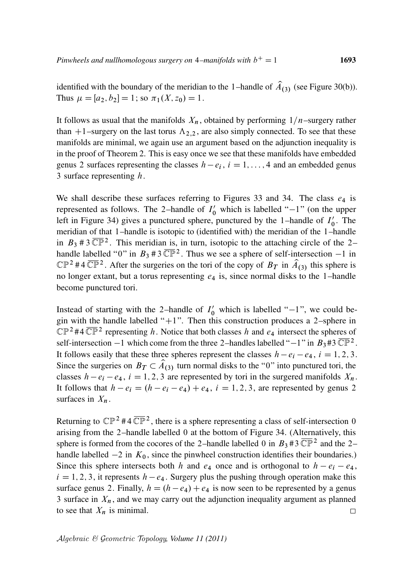identified with the boundary of the meridian to the 1-handle of  $\hat{A}_{(3)}$  (see Figure 30(b)). Thus  $\mu = [a_2, b_2] = 1$ ; so  $\pi_1(X, z_0) = 1$ .

It follows as usual that the manifolds  $X_n$ , obtained by performing  $1/n$ –surgery rather than +1–surgery on the last torus  $\Lambda_{2,2}$ , are also simply connected. To see that these manifolds are minimal, we again use an argument based on the adjunction inequality is in the proof of Theorem 2. This is easy once we see that these manifolds have embedded genus 2 surfaces representing the classes  $h - e_i$ ,  $i = 1, ..., 4$  and an embedded genus 3 surface representing  $h$ .

We shall describe these surfaces referring to Figures 33 and 34. The class  $e_4$  is represented as follows. The 2-handle of  $I'_0$  which is labelled "-1" (on the upper left in Figure 34) gives a punctured sphere, punctured by the 1-handle of  $I_0$  $\frac{7}{0}$ . The meridian of that 1–handle is isotopic to (identified with) the meridian of the 1–handle in  $B_3$  # 3  $\overline{\mathbb{CP}}^2$ . This meridian is, in turn, isotopic to the attaching circle of the 2handle labelled "0" in  $B_3$  # 3  $\overline{\mathbb{CP}}^2$ . Thus we see a sphere of self-intersection  $-1$  in  $\mathbb{CP}^2$  #4  $\overline{\mathbb{CP}}^2$ . After the surgeries on the tori of the copy of  $B_T$  in  $\hat{A}_{(3)}$  this sphere is no longer extant, but a torus representing  $e_4$  is, since normal disks to the 1-handle become punctured tori.

Instead of starting with the 2-handle of  $I'_0$  which is labelled "-1", we could begin with the handle labelled " $+1$ ". Then this construction produces a 2–sphere in  $\mathbb{CP}^2$ #4  $\overline{\mathbb{CP}}^2$  representing h. Notice that both classes h and  $e_4$  intersect the spheres of self-intersection  $-1$  which come from the three 2-handles labelled " $-1$ " in  $B_3 \# 3 \overline{\mathbb{CP}}^2$ . It follows easily that these three spheres represent the classes  $h - e_i - e_4$ ,  $i = 1, 2, 3$ . Since the surgeries on  $B_T \subset \hat{A}_{(3)}$  turn normal disks to the "0" into punctured tori, the classes  $h - e_i - e_4$ ,  $i = 1, 2, 3$  are represented by tori in the surgered manifolds  $X_n$ . It follows that  $h - e_i = (h - e_i - e_4) + e_4$ ,  $i = 1, 2, 3$ , are represented by genus 2 surfaces in  $X_n$ .

Returning to  $\mathbb{CP}^2$  #4  $\overline{\mathbb{CP}}^2$ , there is a sphere representing a class of self-intersection 0 arising from the 2–handle labelled 0 at the bottom of Figure 34. (Alternatively, this sphere is formed from the cocores of the 2-handle labelled 0 in  $B_3$ #3  $\overline{\mathbb{CP}}^2$  and the 2handle labelled  $-2$  in  $K_0$ , since the pinwheel construction identifies their boundaries.) Since this sphere intersects both h and  $e_4$  once and is orthogonal to  $h - e_i - e_4$ ,  $i = 1, 2, 3$ , it represents  $h - e_4$ . Surgery plus the pushing through operation make this surface genus 2. Finally,  $h = (h - e_4) + e_4$  is now seen to be represented by a genus 3 surface in  $X_n$ , and we may carry out the adjunction inequality argument as planned to see that  $X_n$  is minimal.  $\Box$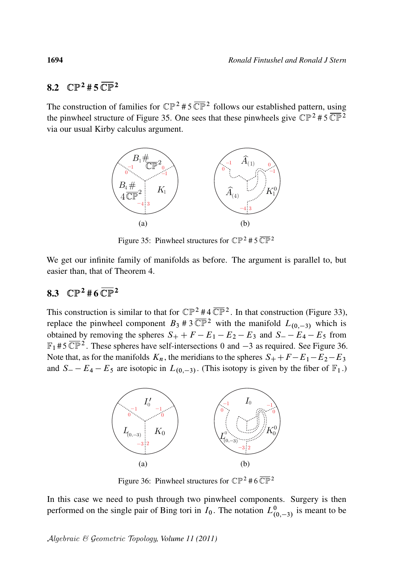#### 82.  $\mathbb{CP}^2 \# 5 \overline{\mathbb{CP}}^2$

The construction of families for  $\mathbb{CP}^2$  #5  $\overline{\mathbb{CP}}^2$  follows our established pattern, using the pinwheel structure of Figure 35. One sees that these pinwheels give  $\mathbb{CP}^2 \# 5 \overline{\mathbb{CP}^2}$ via our usual Kirby calculus argument.



Figure 35: Pinwheel structures for  $\mathbb{CP}^2$  # 5  $\overline{\mathbb{CP}}^2$ 

We get our infinite family of manifolds as before. The argument is parallel to, but easier than, that of Theorem 4.

### 8.3  $\mathbb{CP}^{2}$  # 6  $\overline{\mathbb{CP}}^{2}$

This construction is similar to that for  $\mathbb{CP}^2 \# 4 \overline{\mathbb{CP}}^2$ . In that construction (Figure 33), replace the pinwheel component  $B_3$  # 3  $\overline{\mathbb{CP}}^2$  with the manifold  $L_{(0,-3)}$  which is obtained by removing the spheres  $S_+ + F - E_1 - E_2 - E_3$  and  $S_- - E_4 - E_5$  from  $\mathbb{F}_1$  #5  $\overline{\mathbb{CP}}^2$ . These spheres have self-intersections 0 and  $-3$  as required. See Figure 36. Note that, as for the manifolds  $K_n$ , the meridians to the spheres  $S_+ + F - E_1 - E_2 - E_3$ and  $S = -E_4 - E_5$  are isotopic in  $L_{(0,-3)}$ . (This isotopy is given by the fiber of  $\mathbb{F}_1$ .)



Figure 36: Pinwheel structures for  $\mathbb{CP}^2 \# 6 \overline{\mathbb{CP}}^2$ 

In this case we need to push through two pinwheel components. Surgery is then performed on the single pair of Bing tori in  $I_0$ . The notation  $L^0_{(0,-3)}$  is meant to be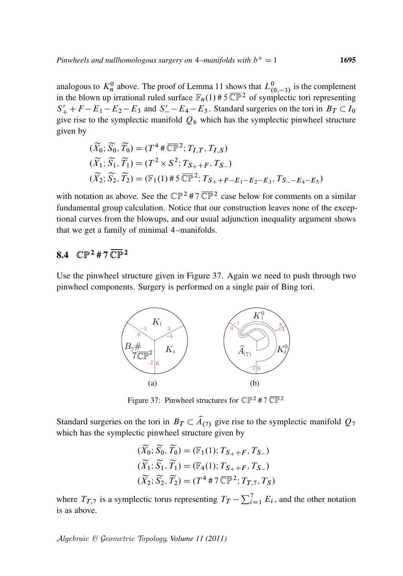analogous to  $K_n^0$  above. The proof of Lemma 11 shows that  $L_{(0,-3)}^0$  is the complement in the blown up irrational ruled surface  $\mathbb{F}_n(1)$  #5  $\overline{\mathbb{CP}}^2$  of symplectic tori representing  $S'_{+} + F - E_1 - E_2 - E_3$  and  $S'_{-} - E_4 - E_5$ . Standard surgeries on the tori in  $B_T \subset I_0$ give rise to the symplectic manifold  $Q_6$  which has the symplectic pinwheel structure given by

$$
(\widetilde{X}_0; \widetilde{S}_0, \widetilde{T}_0) = (T^4 \# \overline{\mathbb{CP}}^2; T_{I,T}, T_{I,S})
$$
  
\n
$$
(\widetilde{X}_1; \widetilde{S}_1, \widetilde{T}_1) = (T^2 \times S^2; T_{S_+ + F}, T_{S_-})
$$
  
\n
$$
(\widetilde{X}_2; \widetilde{S}_2, \widetilde{T}_2) = (\mathbb{F}_1(1) \# 5 \overline{\mathbb{CP}}^2; T_{S_+ + F - E_1 - E_2 - E_3}, T_{S_- - E_4 - E_5})
$$

with notation as above. See the  $\mathbb{CP}^2$  #7  $\overline{\mathbb{CP}}^2$  case below for comments on a similar fundamental group calculation. Notice that our construction leaves none of the exceptional curves from the blowups, and our usual adjunction inequality argument shows that we get a family of minimal 4–manifolds.

### 8.4  $\mathbb{CP}^{2}$  # 7  $\overline{\mathbb{CP}}^{2}$

Use the pinwheel structure given in Figure 37. Again we need to push through two pinwheel components. Surgery is performed on a single pair of Bing tori.



Figure 37: Pinwheel structures for  $\mathbb{CP}^2$  # 7  $\overline{\mathbb{CP}}^2$ 

Standard surgeries on the tori in  $B_T \subset \hat{A}_{(7)}$  give rise to the symplectic manifold  $Q_7$ which has the symplectic pinwheel structure given by

$$
(\widetilde{X}_0; \widetilde{S}_0, \widetilde{T}_0) = (\mathbb{F}_1(1); T_{S_+ + F}, T_{S_-})
$$
  

$$
(\widetilde{X}_1; \widetilde{S}_1, \widetilde{T}_1) = (\mathbb{F}_4(1); T_{S_+ + F}, T_{S_-})
$$
  

$$
(\widetilde{X}_2; \widetilde{S}_2, \widetilde{T}_2) = (T^4 \# 7 \overline{\mathbb{CP}}^2; T_{T,7}, T_S)
$$

where  $T_{T,7}$  is a symplectic torus representing  $T_T - \sum_{i=1}^7 E_i$ , and the other notation is as above.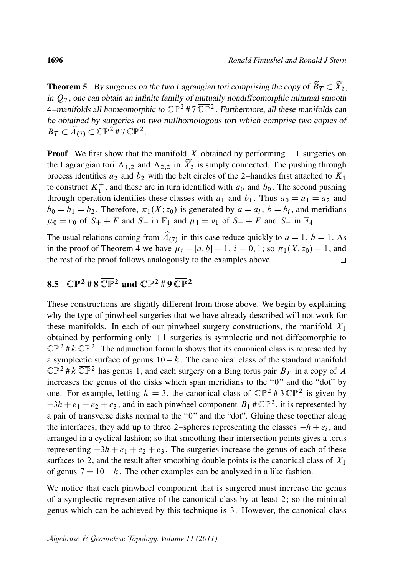**Theorem 5** By surgeries on the two Lagrangian tori comprising the copy of  $\widetilde{B}_T \subset \widetilde{X}_2$ , in  $Q_7$ , one can obtain an infinite family of mutually nondiffeomorphic minimal smooth 4–manifolds all homeomorphic to  $\mathbb{CP}^2$  #7  $\overline{\mathbb{CP}}^2$ . Furthermore, all these manifolds can be obtained by surgeries on two nullhomologous tori which comprise two copies of  $B_T \subset \widehat{A}_{(7)} \subset \widehat{\mathbb{CP}}{}^2 \# 7 \, \overline{\mathbb{CP}}{}^2.$ 

**Proof** We first show that the manifold X obtained by performing  $+1$  surgeries on the Lagrangian tori  $\Lambda_{1,2}$  and  $\Lambda_{2,2}$  in  $\widetilde{X}_2$  is simply connected. The pushing through process identifies  $a_2$  and  $b_2$  with the belt circles of the 2–handles first attached to  $K_1$ to construct  $K_1^+$ <sup>+</sup>, and these are in turn identified with  $a_0$  and  $b_0$ . The second pushing through operation identifies these classes with  $a_1$  and  $b_1$ . Thus  $a_0 = a_1 = a_2$  and  $b_0 = b_1 = b_2$ . Therefore,  $\pi_1(X; z_0)$  is generated by  $a = a_i$ ,  $b = b_i$ , and meridians  $\mu_0 = \nu_0$  of  $S_+ + F$  and  $S_-$  in  $\mathbb{F}_1$  and  $\mu_1 = \nu_1$  of  $S_+ + F$  and  $S_-$  in  $\mathbb{F}_4$ .

The usual relations coming from  $\hat{A}_{(7)}$  in this case reduce quickly to  $a = 1$ ,  $b = 1$ . As in the proof of Theorem 4 we have  $\mu_i = [a, b] = 1$ ,  $i = 0, 1$ ; so  $\pi_1(X, z_0) = 1$ , and the rest of the proof follows analogously to the examples above.  $\Box$ 

# 8.5  $\mathbb{CP}^2 \# 8 \overline{\mathbb{CP}}^2$  and  $\mathbb{CP}^2 \# 9 \overline{\mathbb{CP}}^2$

These constructions are slightly different from those above. We begin by explaining why the type of pinwheel surgeries that we have already described will not work for these manifolds. In each of our pinwheel surgery constructions, the manifold  $X_1$ obtained by performing only  $+1$  surgeries is symplectic and not diffeomorphic to  $\mathbb{CP}^2$  #  $k \overline{\mathbb{CP}}^2$ . The adjunction formula shows that its canonical class is represented by a symplectic surface of genus  $10 - k$ . The canonical class of the standard manifold  $\mathbb{CP}^2$ # $k \overline{\mathbb{CP}}^2$  has genus 1, and each surgery on a Bing torus pair  $B_T$  in a copy of A increases the genus of the disks which span meridians to the "0" and the "dot" by one. For example, letting  $k = 3$ , the canonical class of  $\mathbb{CP}^2 \# 3 \overline{\mathbb{CP}}^2$  is given by  $-3h + e_1 + e_2 + e_3$ , and in each pinwheel component  $B_1 \# \overline{\mathbb{CP}}^2$ , it is represented by a pair of transverse disks normal to the "0" and the "dot". Gluing these together along the interfaces, they add up to three 2-spheres representing the classes  $-h + e_i$ , and arranged in a cyclical fashion; so that smoothing their intersection points gives a torus representing  $-3h + e_1 + e_2 + e_3$ . The surgeries increase the genus of each of these surfaces to 2, and the result after smoothing double points is the canonical class of  $X_1$ of genus  $7 = 10 - k$ . The other examples can be analyzed in a like fashion.

We notice that each pinwheel component that is surgered must increase the genus of a symplectic representative of the canonical class by at least 2; so the minimal genus which can be achieved by this technique is 3. However, the canonical class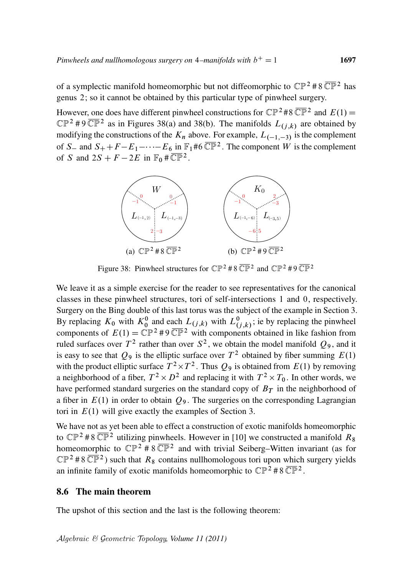of a symplectic manifold homeomorphic but not diffeomorphic to  $\mathbb{CP}^2$  #8  $\overline{\mathbb{CP}}^2$  has genus 2; so it cannot be obtained by this particular type of pinwheel surgery.

However, one does have different pinwheel constructions for  $\mathbb{CP}^2 \# 8 \overline{\mathbb{CP}}^2$  and  $E(1) =$  $\mathbb{CP}^2$  #9 $\overline{\mathbb{CP}}^2$  as in Figures 38(a) and 38(b). The manifolds  $L_{(j,k)}$  are obtained by modifying the constructions of the  $K_n$  above. For example,  $L_{(-1,-3)}$  is the complement of S<sub>-</sub> and  $S_+ + F - E_1 - \cdots - E_6$  in  $\mathbb{F}_1$ #6  $\overline{\mathbb{CP}}^2$ . The component W is the complement of S and  $2S + F - 2E$  in  $\mathbb{F}_0 \# \overline{\mathbb{CP}}^2$ .



Figure 38: Pinwheel structures for  $\mathbb{CP}^2 \# 8 \overline{\mathbb{CP}}^2$  and  $\mathbb{CP}^2 \# 9 \overline{\mathbb{CP}}^2$ 

We leave it as a simple exercise for the reader to see representatives for the canonical classes in these pinwheel structures, tori of self-intersections 1 and 0, respectively. Surgery on the Bing double of this last torus was the subject of the example in Section 3. By replacing  $K_0$  with  $K_0^0$  and each  $L_{(j,k)}$  with  $L_{(j,k)}^0$ ; ie by replacing the pinwheel components of  $E(1) = \mathbb{CP}^2 \# 9 \overline{\mathbb{CP}}^2$  with components obtained in like fashion from ruled surfaces over  $T^2$  rather than over  $S^2$ , we obtain the model manifold  $Q_9$ , and it is easy to see that  $Q_9$  is the elliptic surface over  $T^2$  obtained by fiber summing  $E(1)$ with the product elliptic surface  $T^2 \times T^2$ . Thus  $Q_9$  is obtained from  $E(1)$  by removing a neighborhood of a fiber,  $T^2 \times D^2$  and replacing it with  $T^2 \times T_0$ . In other words, we have performed standard surgeries on the standard copy of  $B<sub>T</sub>$  in the neighborhood of a fiber in  $E(1)$  in order to obtain  $Q_9$ . The surgeries on the corresponding Lagrangian tori in  $E(1)$  will give exactly the examples of Section 3.

We have not as yet been able to effect a construction of exotic manifolds homeomorphic to  $\mathbb{CP}^2$  #8  $\overline{\mathbb{CP}}^2$  utilizing pinwheels. However in [10] we constructed a manifold  $R_8$ homeomorphic to  $\mathbb{CP}^2$  # 8  $\overline{\mathbb{CP}}^2$  and with trivial Seiberg–Witten invariant (as for  $\mathbb{CP}^2$  #8 $\overline{\mathbb{CP}}^2$ ) such that  $R_8$  contains nullhomologous tori upon which surgery yields an infinite family of exotic manifolds homeomorphic to  $\mathbb{CP}^2 \# 8 \overline{\mathbb{CP}}^2$ .

#### 8.6 The main theorem

The upshot of this section and the last is the following theorem: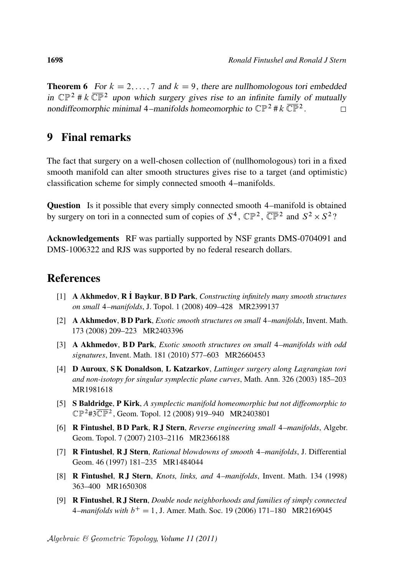**Theorem 6** For  $k = 2, ..., 7$  and  $k = 9$ , there are nullhomologous tori embedded in  $\mathbb{CP}^2$  # k  $\overline{\mathbb{CP}}^2$  upon which surgery gives rise to an infinite family of mutually nondiffeomorphic minimal 4–manifolds homeomorphic to  $\mathbb{CP}^2 \# k \overline{\mathbb{CP}}^2$ .  $\Box$ 

# 9 Final remarks

The fact that surgery on a well-chosen collection of (nullhomologous) tori in a fixed smooth manifold can alter smooth structures gives rise to a target (and optimistic) classification scheme for simply connected smooth 4–manifolds.

Question Is it possible that every simply connected smooth 4–manifold is obtained by surgery on tori in a connected sum of copies of  $S^4$ ,  $\mathbb{CP}^2$ ,  $\overline{\mathbb{CP}}^2$  and  $S^2 \times S^2$ ?

Acknowledgements RF was partially supported by NSF grants DMS-0704091 and DMS-1006322 and RJS was supported by no federal research dollars.

### References

- [1] **A Akhmedov, R I Baykur, B D Park,** *Constructing infinitely many smooth structures on small* 4*–manifolds*, J. Topol. 1 (2008) 409–428 MR2399137
- [2] A Akhmedov, B D Park, *Exotic smooth structures on small* 4*–manifolds*, Invent. Math. 173 (2008) 209–223 MR2403396
- [3] A Akhmedov, B D Park, *Exotic smooth structures on small* 4*–manifolds with odd signatures*, Invent. Math. 181 (2010) 577–603 MR2660453
- [4] D Auroux, S K Donaldson, L Katzarkov, *Luttinger surgery along Lagrangian tori and non-isotopy for singular symplectic plane curves*, Math. Ann. 326 (2003) 185–203 MR1981618
- [5] S Baldridge, P Kirk, *A symplectic manifold homeomorphic but not diffeomorphic to*  $\mathbb{CP}^2$ #3 $\overline{\mathbb{CP}}^2$ , Geom. Topol. 12 (2008) 919–940 MR2403801
- [6] R Fintushel, B D Park, R J Stern, *Reverse engineering small* 4*–manifolds*, Algebr. Geom. Topol. 7 (2007) 2103–2116 MR2366188
- [7] R Fintushel, R J Stern, *Rational blowdowns of smooth* 4*–manifolds*, J. Differential Geom. 46 (1997) 181–235 MR1484044
- [8] R Fintushel, R J Stern, *Knots, links, and* 4*–manifolds*, Invent. Math. 134 (1998) 363–400 MR1650308
- [9] R Fintushel, R J Stern, *Double node neighborhoods and families of simply connected*  $4$ *-manifolds with*  $b<sup>+</sup> = 1$ , J. Amer. Math. Soc. 19 (2006) 171–180 MR2169045